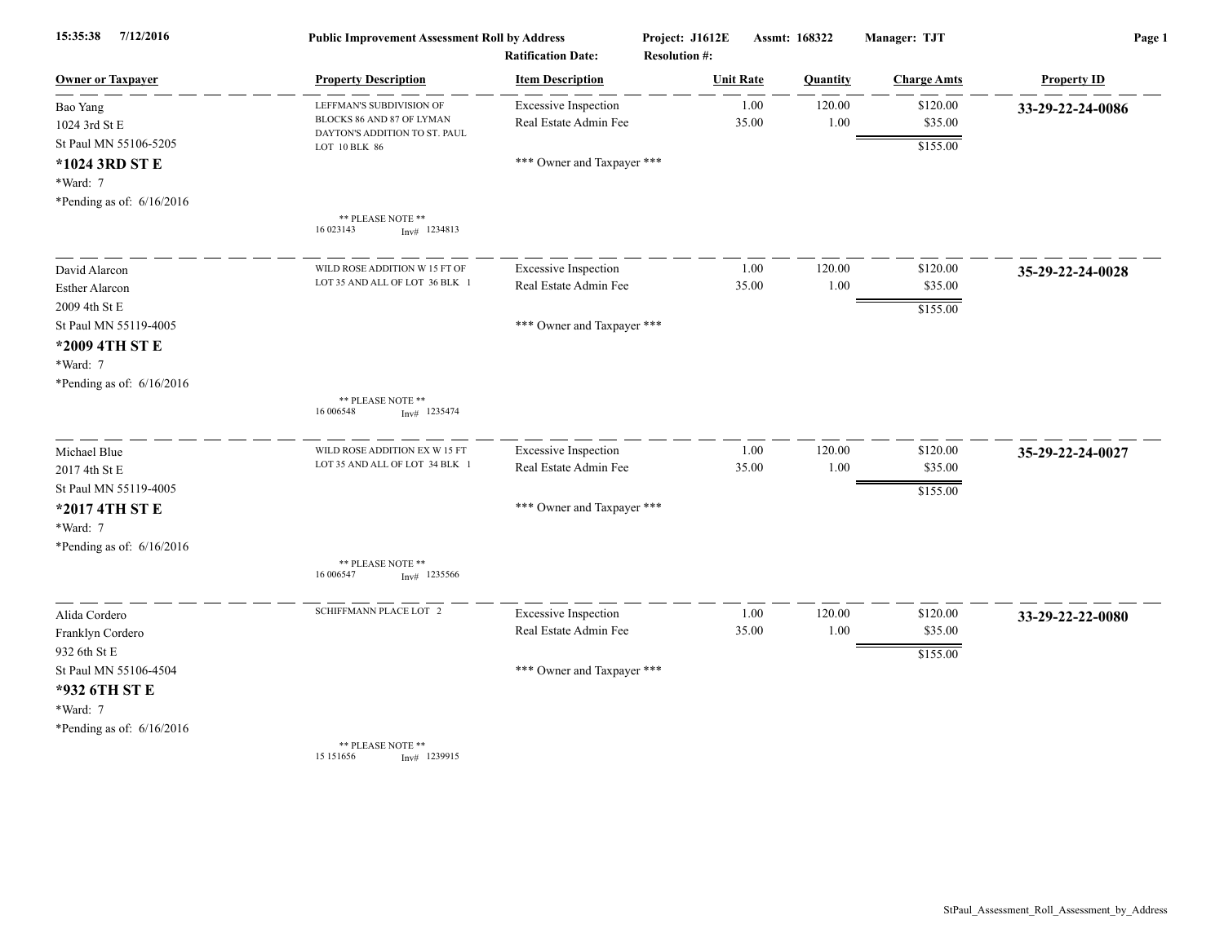| 15:35:38<br>7/12/2016       | <b>Public Improvement Assessment Roll by Address</b><br><b>Ratification Date:</b> |                             | Project: J1612E<br><b>Resolution #:</b> | Assmt: 168322   | Manager: TJT       | Page 1             |  |
|-----------------------------|-----------------------------------------------------------------------------------|-----------------------------|-----------------------------------------|-----------------|--------------------|--------------------|--|
| <u>Owner or Taxpayer</u>    | <b>Property Description</b>                                                       | <b>Item Description</b>     | <b>Unit Rate</b>                        | <b>Quantity</b> | <b>Charge Amts</b> | <b>Property ID</b> |  |
| Bao Yang                    | LEFFMAN'S SUBDIVISION OF                                                          | <b>Excessive Inspection</b> | 1.00                                    | 120.00          | \$120.00           | 33-29-22-24-0086   |  |
| 1024 3rd St E               | BLOCKS 86 AND 87 OF LYMAN<br>DAYTON'S ADDITION TO ST. PAUL                        | Real Estate Admin Fee       | 35.00                                   | 1.00            | \$35.00            |                    |  |
| St Paul MN 55106-5205       | LOT 10 BLK 86                                                                     |                             |                                         |                 | \$155.00           |                    |  |
| *1024 3RD ST E              |                                                                                   | *** Owner and Taxpayer ***  |                                         |                 |                    |                    |  |
| *Ward: 7                    |                                                                                   |                             |                                         |                 |                    |                    |  |
| *Pending as of: $6/16/2016$ |                                                                                   |                             |                                         |                 |                    |                    |  |
|                             | ** PLEASE NOTE **<br>16 023143<br>$Inv#$ 1234813                                  |                             |                                         |                 |                    |                    |  |
| David Alarcon               | WILD ROSE ADDITION W 15 FT OF                                                     | <b>Excessive Inspection</b> | 1.00                                    | 120.00          | \$120.00           | 35-29-22-24-0028   |  |
| <b>Esther Alarcon</b>       | LOT 35 AND ALL OF LOT 36 BLK 1                                                    | Real Estate Admin Fee       | 35.00                                   | 1.00            | \$35.00            |                    |  |
| 2009 4th St E               |                                                                                   |                             |                                         |                 | \$155.00           |                    |  |
| St Paul MN 55119-4005       |                                                                                   | *** Owner and Taxpayer ***  |                                         |                 |                    |                    |  |
| *2009 4TH ST E              |                                                                                   |                             |                                         |                 |                    |                    |  |
| *Ward: 7                    |                                                                                   |                             |                                         |                 |                    |                    |  |
| *Pending as of: $6/16/2016$ |                                                                                   |                             |                                         |                 |                    |                    |  |
|                             | ** PLEASE NOTE **<br>16 006548<br>$Inv#$ 1235474                                  |                             |                                         |                 |                    |                    |  |
| Michael Blue                | WILD ROSE ADDITION EX W 15 FT                                                     | <b>Excessive Inspection</b> | 1.00                                    | 120.00          | \$120.00           | 35-29-22-24-0027   |  |
| 2017 4th St E               | LOT 35 AND ALL OF LOT 34 BLK 1                                                    | Real Estate Admin Fee       | 35.00                                   | 1.00            | \$35.00            |                    |  |
| St Paul MN 55119-4005       |                                                                                   |                             |                                         |                 | \$155.00           |                    |  |
| *2017 4TH ST E              |                                                                                   | *** Owner and Taxpayer ***  |                                         |                 |                    |                    |  |
| *Ward: 7                    |                                                                                   |                             |                                         |                 |                    |                    |  |
| *Pending as of: 6/16/2016   |                                                                                   |                             |                                         |                 |                    |                    |  |
|                             | ** PLEASE NOTE **<br>16 006547<br>$Inv#$ 1235566                                  |                             |                                         |                 |                    |                    |  |
| Alida Cordero               | SCHIFFMANN PLACE LOT 2                                                            | <b>Excessive Inspection</b> | 1.00                                    | 120.00          | \$120.00           | 33-29-22-22-0080   |  |
| Franklyn Cordero            |                                                                                   | Real Estate Admin Fee       | 35.00                                   | 1.00            | \$35.00            |                    |  |
| 932 6th St E                |                                                                                   |                             |                                         |                 | \$155.00           |                    |  |
| St Paul MN 55106-4504       |                                                                                   | *** Owner and Taxpayer ***  |                                         |                 |                    |                    |  |
| *932 6TH ST E               |                                                                                   |                             |                                         |                 |                    |                    |  |
| *Ward: 7                    |                                                                                   |                             |                                         |                 |                    |                    |  |
| *Pending as of: $6/16/2016$ |                                                                                   |                             |                                         |                 |                    |                    |  |
|                             | ** PLEASE NOTE **<br>15 15 1656<br>Inv# 1239915                                   |                             |                                         |                 |                    |                    |  |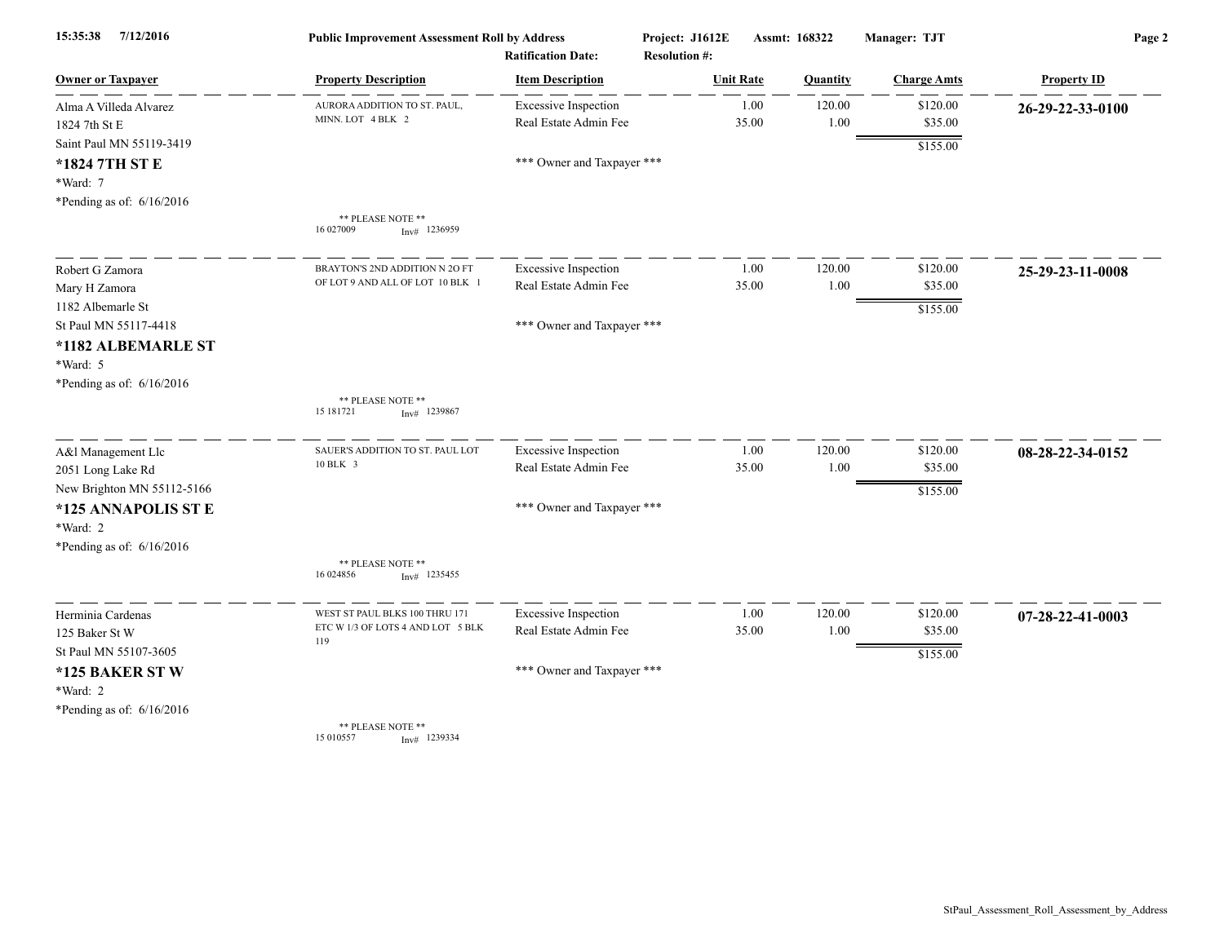| 7/12/2016<br>15:35:38       | <b>Public Improvement Assessment Roll by Address</b><br><b>Ratification Date:</b> |                             | Project: J1612E<br><b>Resolution #:</b> | Assmt: 168322    |          | Manager: TJT       | Page 2             |  |
|-----------------------------|-----------------------------------------------------------------------------------|-----------------------------|-----------------------------------------|------------------|----------|--------------------|--------------------|--|
| <u>Owner or Taxpayer</u>    | <b>Property Description</b>                                                       | <b>Item Description</b>     |                                         | <b>Unit Rate</b> | Quantity | <b>Charge Amts</b> | <b>Property ID</b> |  |
| Alma A Villeda Alvarez      | AURORA ADDITION TO ST. PAUL                                                       | <b>Excessive Inspection</b> |                                         | 1.00             | 120.00   | \$120.00           | 26-29-22-33-0100   |  |
| 1824 7th St E               | MINN. LOT 4 BLK 2                                                                 | Real Estate Admin Fee       |                                         | 35.00            | 1.00     | \$35.00            |                    |  |
| Saint Paul MN 55119-3419    |                                                                                   |                             |                                         |                  |          | \$155.00           |                    |  |
| *1824 7TH ST E              |                                                                                   | *** Owner and Taxpayer ***  |                                         |                  |          |                    |                    |  |
| *Ward: 7                    |                                                                                   |                             |                                         |                  |          |                    |                    |  |
| *Pending as of: $6/16/2016$ | ** PLEASE NOTE **                                                                 |                             |                                         |                  |          |                    |                    |  |
|                             | 16 027009<br>$Inv#$ 1236959                                                       |                             |                                         |                  |          |                    |                    |  |
| Robert G Zamora             | BRAYTON'S 2ND ADDITION N 2O F                                                     | <b>Excessive Inspection</b> |                                         | 1.00             | 120.00   | \$120.00           | 25-29-23-11-0008   |  |
| Mary H Zamora               | OF LOT 9 AND ALL OF LOT 10 BLK                                                    | Real Estate Admin Fee       |                                         | 35.00            | 1.00     | \$35.00            |                    |  |
| 1182 Albemarle St           |                                                                                   |                             |                                         |                  |          | \$155.00           |                    |  |
| St Paul MN 55117-4418       |                                                                                   | *** Owner and Taxpayer ***  |                                         |                  |          |                    |                    |  |
| *1182 ALBEMARLE ST          |                                                                                   |                             |                                         |                  |          |                    |                    |  |
| *Ward: 5                    |                                                                                   |                             |                                         |                  |          |                    |                    |  |
| *Pending as of: $6/16/2016$ | ** PLEASE NOTE **                                                                 |                             |                                         |                  |          |                    |                    |  |
|                             | 15 18 17 21<br>$Inv#$ 1239867                                                     |                             |                                         |                  |          |                    |                    |  |
| A&l Management Llc          | SAUER'S ADDITION TO ST. PAUL LOT                                                  | <b>Excessive Inspection</b> |                                         | 1.00             | 120.00   | \$120.00           | 08-28-22-34-0152   |  |
| 2051 Long Lake Rd           | 10 BLK 3                                                                          | Real Estate Admin Fee       |                                         | 35.00            | 1.00     | \$35.00            |                    |  |
| New Brighton MN 55112-5166  |                                                                                   |                             |                                         |                  |          | \$155.00           |                    |  |
| *125 ANNAPOLIS ST E         |                                                                                   | *** Owner and Taxpayer ***  |                                         |                  |          |                    |                    |  |
| *Ward: 2                    |                                                                                   |                             |                                         |                  |          |                    |                    |  |
| *Pending as of: $6/16/2016$ | ** PLEASE NOTE **                                                                 |                             |                                         |                  |          |                    |                    |  |
|                             | 16 024856<br>$Inv#$ 1235455                                                       |                             |                                         |                  |          |                    |                    |  |
| Herminia Cardenas           | WEST ST PAUL BLKS 100 THRU 171                                                    | <b>Excessive Inspection</b> |                                         | 1.00             | 120.00   | \$120.00           | 07-28-22-41-0003   |  |
| 125 Baker St W              | ETC W 1/3 OF LOTS 4 AND LOT 5 BLK<br>119                                          | Real Estate Admin Fee       |                                         | 35.00            | 1.00     | \$35.00            |                    |  |
| St Paul MN 55107-3605       |                                                                                   |                             |                                         |                  |          | \$155.00           |                    |  |
| *125 BAKER ST W             |                                                                                   | *** Owner and Taxpayer ***  |                                         |                  |          |                    |                    |  |
| *Ward: 2                    |                                                                                   |                             |                                         |                  |          |                    |                    |  |
| *Pending as of: 6/16/2016   |                                                                                   |                             |                                         |                  |          |                    |                    |  |
|                             | ** PLEASE NOTE **<br>15 010557<br>$Inv#$ 1239334                                  |                             |                                         |                  |          |                    |                    |  |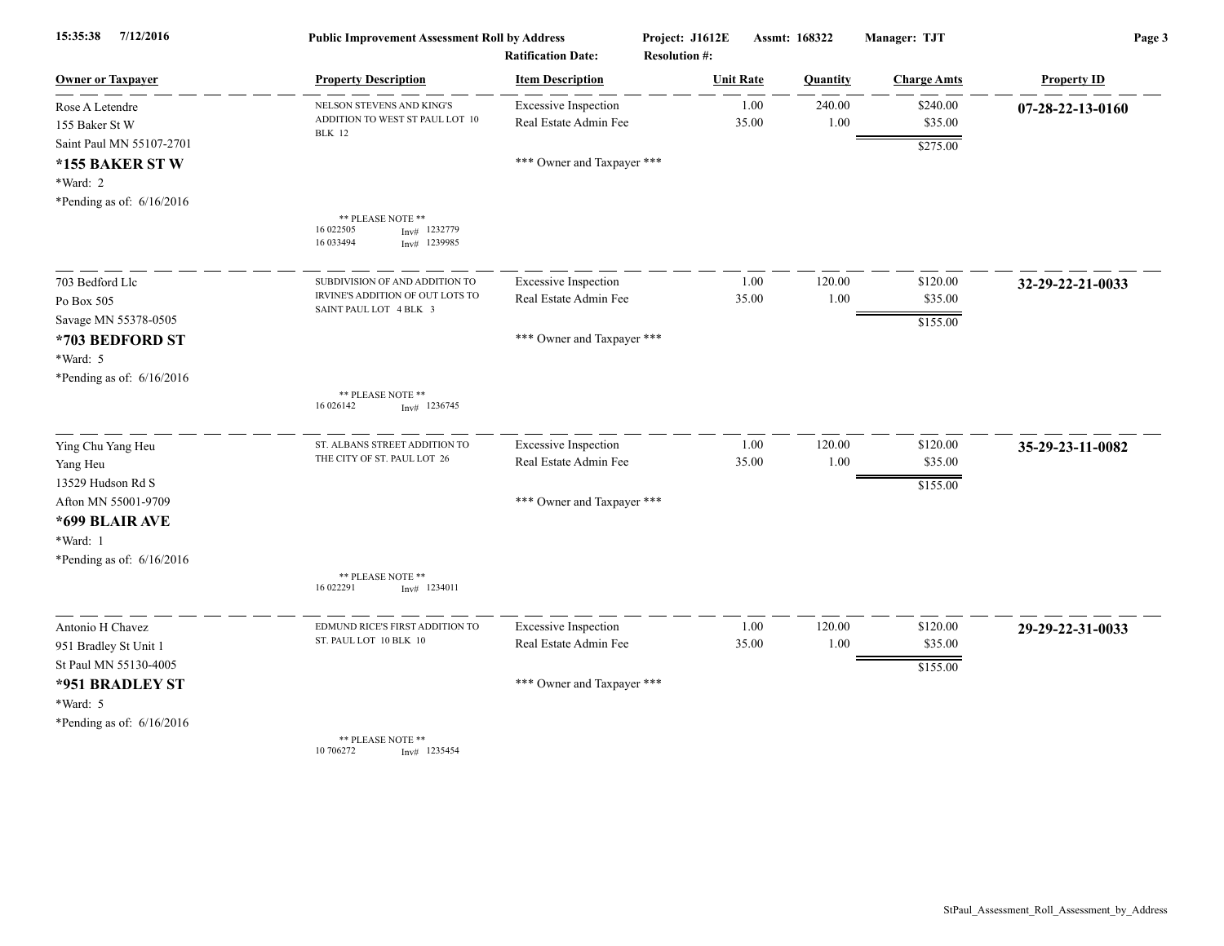| 15:35:38<br>7/12/2016                                                                 | <b>Public Improvement Assessment Roll by Address</b><br><b>Ratification Date:</b> |                                                      | Project: J1612E<br><b>Resolution #:</b> | Assmt: 168322   | Manager: TJT   |                     | Page 3             |  |
|---------------------------------------------------------------------------------------|-----------------------------------------------------------------------------------|------------------------------------------------------|-----------------------------------------|-----------------|----------------|---------------------|--------------------|--|
| <b>Owner or Taxpayer</b>                                                              | <b>Property Description</b>                                                       | <b>Item Description</b>                              | <b>Unit Rate</b>                        | <b>Quantity</b> |                | <b>Charge Amts</b>  | <b>Property ID</b> |  |
| Rose A Letendre<br>155 Baker St W                                                     | NELSON STEVENS AND KING'S<br>ADDITION TO WEST ST PAUL LOT 10<br><b>BLK</b> 12     | <b>Excessive Inspection</b><br>Real Estate Admin Fee | 1.00<br>35.00                           |                 | 240.00<br>1.00 | \$240.00<br>\$35.00 | 07-28-22-13-0160   |  |
| Saint Paul MN 55107-2701<br>*155 BAKER STW<br>*Ward: 2<br>*Pending as of: $6/16/2016$ |                                                                                   | *** Owner and Taxpayer ***                           |                                         |                 |                | \$275.00            |                    |  |
|                                                                                       | ** PLEASE NOTE **<br>16 022505<br>1232779<br>Inv#<br>16 033494<br>$Inv#$ 1239985  |                                                      |                                         |                 |                |                     |                    |  |
| 703 Bedford Llc                                                                       | SUBDIVISION OF AND ADDITION TO                                                    | <b>Excessive Inspection</b>                          | 1.00                                    |                 | 120.00         | \$120.00            | 32-29-22-21-0033   |  |
| Po Box 505                                                                            | IRVINE'S ADDITION OF OUT LOTS TO<br>SAINT PAUL LOT 4 BLK 3                        | Real Estate Admin Fee                                | 35.00                                   |                 | 1.00           | \$35.00             |                    |  |
| Savage MN 55378-0505<br>*703 BEDFORD ST<br>*Ward: 5<br>*Pending as of: $6/16/2016$    |                                                                                   | *** Owner and Taxpayer ***                           |                                         |                 |                | \$155.00            |                    |  |
|                                                                                       | ** PLEASE NOTE **<br>16 026142<br>1236745<br>Inv#                                 |                                                      |                                         |                 |                |                     |                    |  |
| Ying Chu Yang Heu                                                                     | ST. ALBANS STREET ADDITION TO                                                     | <b>Excessive Inspection</b>                          | 1.00                                    |                 | 120.00         | \$120.00            | 35-29-23-11-0082   |  |
| Yang Heu<br>13529 Hudson Rd S                                                         | THE CITY OF ST. PAUL LOT 26                                                       | Real Estate Admin Fee                                | 35.00                                   |                 | $1.00\,$       | \$35.00             |                    |  |
| Afton MN 55001-9709<br>*699 BLAIR AVE<br>*Ward: 1<br>*Pending as of: $6/16/2016$      |                                                                                   | *** Owner and Taxpayer ***                           |                                         |                 |                | \$155.00            |                    |  |
|                                                                                       | ** PLEASE NOTE **<br>16 022291<br>$Inv#$ 1234011                                  |                                                      |                                         |                 |                |                     |                    |  |
| Antonio H Chavez                                                                      | EDMUND RICE'S FIRST ADDITION TO                                                   | <b>Excessive Inspection</b>                          | 1.00                                    |                 | 120.00         | \$120.00            | 29-29-22-31-0033   |  |
| 951 Bradley St Unit 1<br>St Paul MN 55130-4005                                        | ST. PAUL LOT 10 BLK 10                                                            | Real Estate Admin Fee                                | 35.00                                   |                 | 1.00           | \$35.00             |                    |  |
| *951 BRADLEY ST<br>*Ward: 5<br>*Pending as of: $6/16/2016$                            |                                                                                   | *** Owner and Taxpayer ***                           |                                         |                 |                | \$155.00            |                    |  |
|                                                                                       | ** PLEASE NOTE **<br>10 70 6272<br>$Inv#$ 1235454                                 |                                                      |                                         |                 |                |                     |                    |  |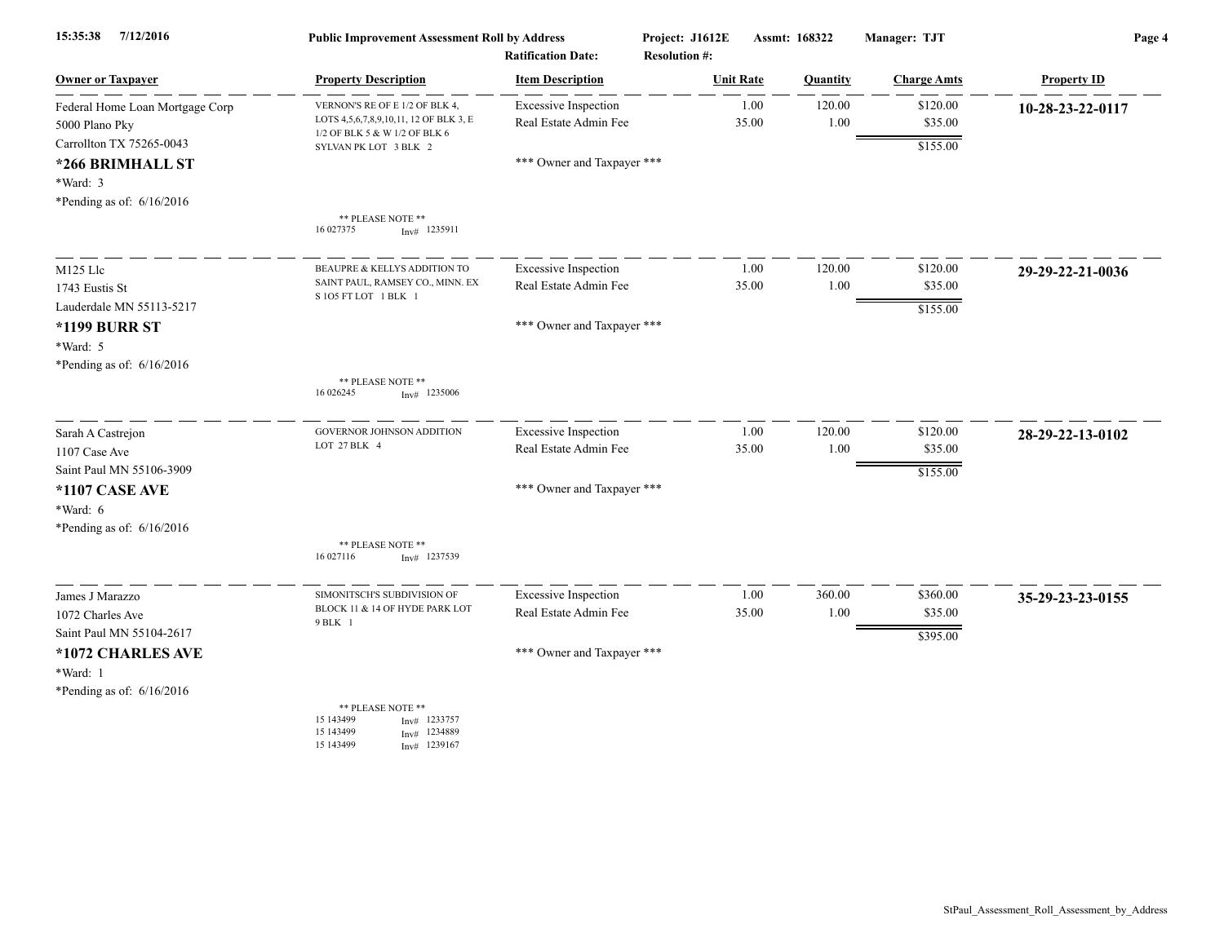| 15:35:38<br>7/12/2016           | <b>Public Improvement Assessment Roll by Address</b><br><b>Ratification Date:</b> |                             | Project: J1612E | Assmt: 168322<br><b>Resolution #:</b> |          | Manager: TJT       | Page 4             |  |
|---------------------------------|-----------------------------------------------------------------------------------|-----------------------------|-----------------|---------------------------------------|----------|--------------------|--------------------|--|
| <b>Owner or Taxpayer</b>        | <b>Property Description</b>                                                       | <b>Item Description</b>     |                 | <b>Unit Rate</b>                      | Quantity | <b>Charge Amts</b> | <b>Property ID</b> |  |
| Federal Home Loan Mortgage Corp | VERNON'S RE OF E 1/2 OF BLK 4.                                                    | <b>Excessive Inspection</b> |                 | 1.00                                  | 120.00   | \$120.00           | 10-28-23-22-0117   |  |
| 5000 Plano Pky                  | LOTS 4, 5, 6, 7, 8, 9, 10, 11, 12 OF BLK 3, E<br>1/2 OF BLK 5 & W 1/2 OF BLK 6    | Real Estate Admin Fee       |                 | 35.00                                 | 1.00     | \$35.00            |                    |  |
| Carrollton TX 75265-0043        | SYLVAN PK LOT 3 BLK 2                                                             |                             |                 |                                       |          | \$155.00           |                    |  |
| *266 BRIMHALL ST                |                                                                                   | *** Owner and Taxpayer ***  |                 |                                       |          |                    |                    |  |
| *Ward: 3                        |                                                                                   |                             |                 |                                       |          |                    |                    |  |
| *Pending as of: $6/16/2016$     |                                                                                   |                             |                 |                                       |          |                    |                    |  |
|                                 | ** PLEASE NOTE **<br>16 027375<br>$Inv#$ 1235911                                  |                             |                 |                                       |          |                    |                    |  |
| M125 Llc                        | BEAUPRE & KELLYS ADDITION TO                                                      | <b>Excessive Inspection</b> |                 | 1.00                                  | 120.00   | \$120.00           | 29-29-22-21-0036   |  |
| 1743 Eustis St                  | SAINT PAUL, RAMSEY CO., MINN. EX<br>S1O5 FT LOT 1 BLK 1                           | Real Estate Admin Fee       |                 | 35.00                                 | 1.00     | \$35.00            |                    |  |
| Lauderdale MN 55113-5217        |                                                                                   |                             |                 |                                       |          | \$155.00           |                    |  |
| <b>*1199 BURR ST</b>            |                                                                                   | *** Owner and Taxpayer ***  |                 |                                       |          |                    |                    |  |
| *Ward: 5                        |                                                                                   |                             |                 |                                       |          |                    |                    |  |
| *Pending as of: 6/16/2016       |                                                                                   |                             |                 |                                       |          |                    |                    |  |
|                                 | ** PLEASE NOTE **<br>16 026245<br>$Inv#$ 1235006                                  |                             |                 |                                       |          |                    |                    |  |
| Sarah A Castrejon               | <b>GOVERNOR JOHNSON ADDITION</b>                                                  | <b>Excessive Inspection</b> |                 | 1.00                                  | 120.00   | \$120.00           | 28-29-22-13-0102   |  |
| 1107 Case Ave                   | LOT 27 BLK 4                                                                      | Real Estate Admin Fee       |                 | 35.00                                 | 1.00     | \$35.00            |                    |  |
| Saint Paul MN 55106-3909        |                                                                                   |                             |                 |                                       |          | \$155.00           |                    |  |
| *1107 CASE AVE                  |                                                                                   | *** Owner and Taxpayer ***  |                 |                                       |          |                    |                    |  |
| *Ward: 6                        |                                                                                   |                             |                 |                                       |          |                    |                    |  |
| *Pending as of: $6/16/2016$     |                                                                                   |                             |                 |                                       |          |                    |                    |  |
|                                 | ** PLEASE NOTE **<br>16 027116<br>$Inv#$ 1237539                                  |                             |                 |                                       |          |                    |                    |  |
| James J Marazzo                 | SIMONITSCH'S SUBDIVISION OF                                                       | <b>Excessive Inspection</b> |                 | 1.00                                  | 360.00   | \$360.00           | 35-29-23-23-0155   |  |
| 1072 Charles Ave                | BLOCK 11 & 14 OF HYDE PARK LOT<br>9 BLK 1                                         | Real Estate Admin Fee       |                 | 35.00                                 | 1.00     | \$35.00            |                    |  |
| Saint Paul MN 55104-2617        |                                                                                   |                             |                 |                                       |          | \$395.00           |                    |  |
| *1072 CHARLES AVE               |                                                                                   | *** Owner and Taxpayer ***  |                 |                                       |          |                    |                    |  |
| *Ward: 1                        |                                                                                   |                             |                 |                                       |          |                    |                    |  |
| *Pending as of: $6/16/2016$     |                                                                                   |                             |                 |                                       |          |                    |                    |  |
|                                 | ** PLEASE NOTE **<br>15 143499<br>$Inv#$ 1233757<br>15 143499<br>$Inv#$ 1234889   |                             |                 |                                       |          |                    |                    |  |
|                                 | 15 143499<br>Inv# 1239167                                                         |                             |                 |                                       |          |                    |                    |  |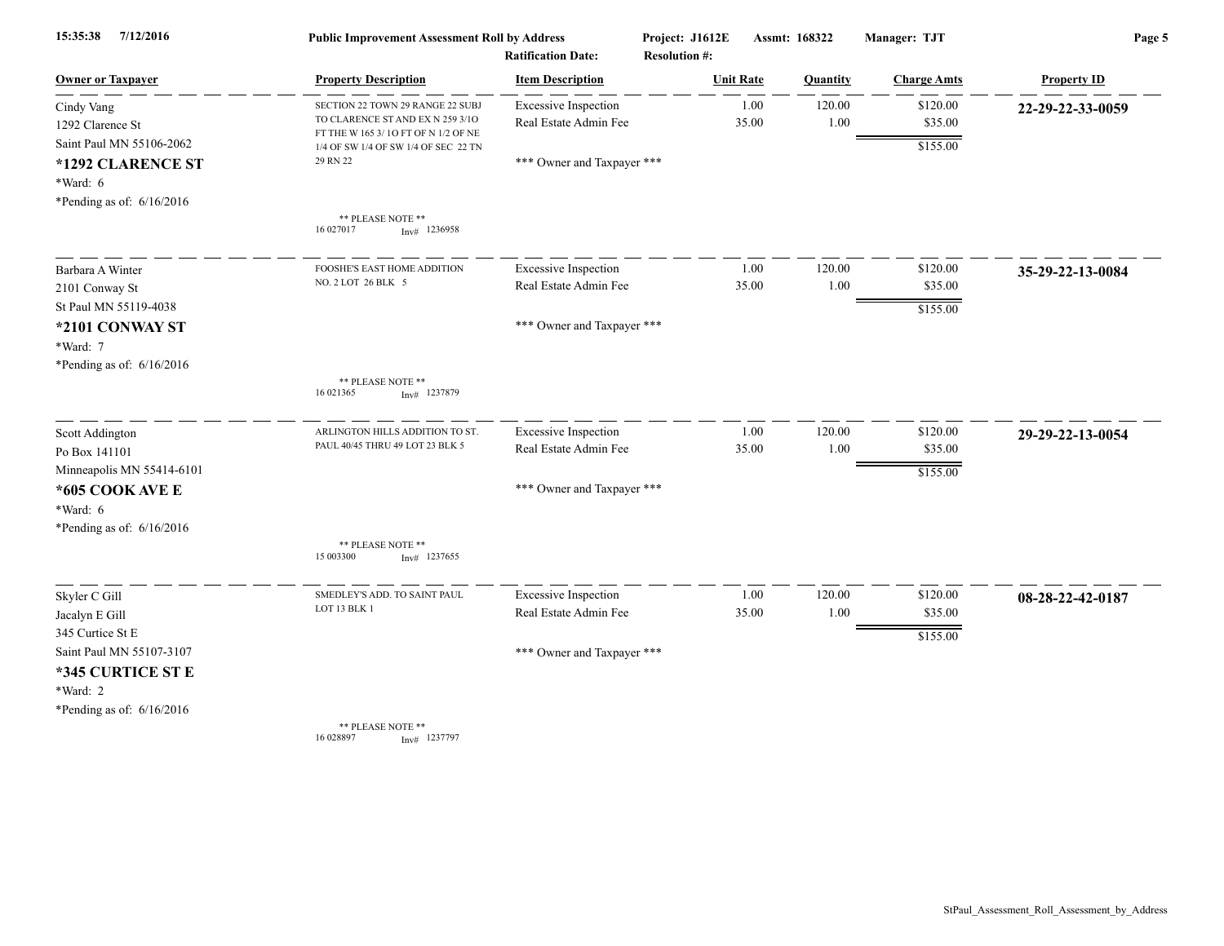| 7/12/2016<br>15:35:38       | <b>Public Improvement Assessment Roll by Address</b><br><b>Ratification Date:</b> |                             | Project: J1612E<br><b>Resolution #:</b> |                  | Assmt: 168322 | Manager: TJT       | Page 5             |  |
|-----------------------------|-----------------------------------------------------------------------------------|-----------------------------|-----------------------------------------|------------------|---------------|--------------------|--------------------|--|
| <b>Owner or Taxpayer</b>    | <b>Property Description</b>                                                       | <b>Item Description</b>     |                                         | <b>Unit Rate</b> | Quantity      | <b>Charge Amts</b> | <b>Property ID</b> |  |
| Cindy Vang                  | SECTION 22 TOWN 29 RANGE 22 SUBJ                                                  | <b>Excessive Inspection</b> |                                         | 1.00             | 120.00        | \$120.00           | 22-29-22-33-0059   |  |
| 1292 Clarence St            | TO CLARENCE ST AND EX N 259 3/10<br>FT THE W 165 3/10 FT OF N 1/2 OF NE           | Real Estate Admin Fee       |                                         | 35.00            | 1.00          | \$35.00            |                    |  |
| Saint Paul MN 55106-2062    | 1/4 OF SW 1/4 OF SW 1/4 OF SEC 22 TN                                              |                             |                                         |                  |               | \$155.00           |                    |  |
| *1292 CLARENCE ST           | 29 RN 22                                                                          | *** Owner and Taxpayer ***  |                                         |                  |               |                    |                    |  |
| $*Ward: 6$                  |                                                                                   |                             |                                         |                  |               |                    |                    |  |
| *Pending as of: $6/16/2016$ |                                                                                   |                             |                                         |                  |               |                    |                    |  |
|                             | ** PLEASE NOTE **<br>$Inv#$ 1236958<br>16 027017                                  |                             |                                         |                  |               |                    |                    |  |
| Barbara A Winter            | FOOSHE'S EAST HOME ADDITION                                                       | <b>Excessive Inspection</b> |                                         | 1.00             | 120.00        | \$120.00           | 35-29-22-13-0084   |  |
| 2101 Conway St              | NO. 2 LOT 26 BLK 5                                                                | Real Estate Admin Fee       |                                         | 35.00            | 1.00          | \$35.00            |                    |  |
| St Paul MN 55119-4038       |                                                                                   |                             |                                         |                  |               | \$155.00           |                    |  |
| *2101 CONWAY ST             |                                                                                   | *** Owner and Taxpayer ***  |                                         |                  |               |                    |                    |  |
| *Ward: 7                    |                                                                                   |                             |                                         |                  |               |                    |                    |  |
| *Pending as of: $6/16/2016$ |                                                                                   |                             |                                         |                  |               |                    |                    |  |
|                             | ** PLEASE NOTE **<br>16 02 1365<br>$Inv#$ 1237879                                 |                             |                                         |                  |               |                    |                    |  |
| Scott Addington             | ARLINGTON HILLS ADDITION TO ST                                                    | <b>Excessive Inspection</b> |                                         | 1.00             | 120.00        | \$120.00           | 29-29-22-13-0054   |  |
| Po Box 141101               | PAUL 40/45 THRU 49 LOT 23 BLK 5                                                   | Real Estate Admin Fee       |                                         | 35.00            | 1.00          | \$35.00            |                    |  |
| Minneapolis MN 55414-6101   |                                                                                   |                             |                                         |                  |               | \$155.00           |                    |  |
| *605 COOK AVE E             |                                                                                   | *** Owner and Taxpayer ***  |                                         |                  |               |                    |                    |  |
| $*Ward: 6$                  |                                                                                   |                             |                                         |                  |               |                    |                    |  |
| *Pending as of: $6/16/2016$ |                                                                                   |                             |                                         |                  |               |                    |                    |  |
|                             | ** PLEASE NOTE **<br>15 003300<br>$Inv#$ 1237655                                  |                             |                                         |                  |               |                    |                    |  |
| Skyler C Gill               | SMEDLEY'S ADD. TO SAINT PAUL                                                      | <b>Excessive Inspection</b> |                                         | 1.00             | 120.00        | \$120.00           | 08-28-22-42-0187   |  |
| Jacalyn E Gill              | LOT 13 BLK 1                                                                      | Real Estate Admin Fee       |                                         | 35.00            | 1.00          | \$35.00            |                    |  |
| 345 Curtice St E            |                                                                                   |                             |                                         |                  |               | \$155.00           |                    |  |
| Saint Paul MN 55107-3107    |                                                                                   | *** Owner and Taxpayer ***  |                                         |                  |               |                    |                    |  |
| *345 CURTICE ST E           |                                                                                   |                             |                                         |                  |               |                    |                    |  |
| *Ward: 2                    |                                                                                   |                             |                                         |                  |               |                    |                    |  |
| *Pending as of: $6/16/2016$ |                                                                                   |                             |                                         |                  |               |                    |                    |  |
|                             | ** PLEASE NOTE **<br>16 028897<br>$Inv#$ 1237797                                  |                             |                                         |                  |               |                    |                    |  |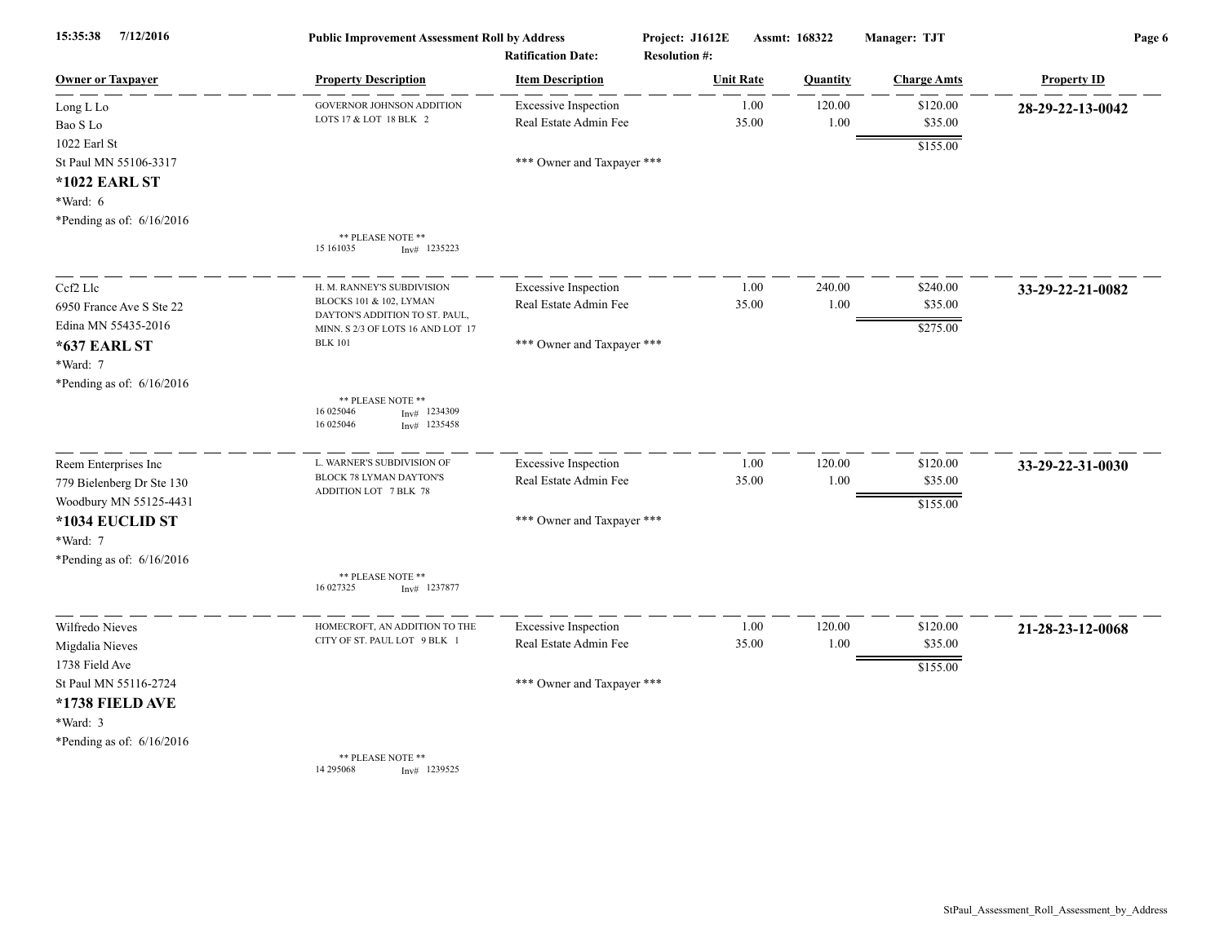| 15:35:38<br>7/12/2016       | <b>Public Improvement Assessment Roll by Address</b><br><b>Ratification Date:</b> |                             | Project: J1612E<br><b>Resolution #:</b> | Assmt: 168322 |          | Manager: TJT       | Page 6             |  |
|-----------------------------|-----------------------------------------------------------------------------------|-----------------------------|-----------------------------------------|---------------|----------|--------------------|--------------------|--|
| <b>Owner or Taxpayer</b>    | <b>Property Description</b>                                                       | <b>Item Description</b>     | <b>Unit Rate</b>                        |               | Quantity | <b>Charge Amts</b> | <b>Property ID</b> |  |
| Long L Lo                   | GOVERNOR JOHNSON ADDITION                                                         | <b>Excessive Inspection</b> |                                         | 1.00          | 120.00   | \$120.00           | 28-29-22-13-0042   |  |
| Bao S Lo                    | LOTS 17 & LOT 18 BLK 2                                                            | Real Estate Admin Fee       | 35.00                                   |               | 1.00     | \$35.00            |                    |  |
| $1022$ Earl St              |                                                                                   |                             |                                         |               |          | \$155.00           |                    |  |
| St Paul MN 55106-3317       |                                                                                   | *** Owner and Taxpayer ***  |                                         |               |          |                    |                    |  |
| *1022 EARL ST               |                                                                                   |                             |                                         |               |          |                    |                    |  |
| *Ward: 6                    |                                                                                   |                             |                                         |               |          |                    |                    |  |
| *Pending as of: 6/16/2016   |                                                                                   |                             |                                         |               |          |                    |                    |  |
|                             | ** PLEASE NOTE **<br>15 16 10 35<br>$Inv#$ 1235223                                |                             |                                         |               |          |                    |                    |  |
| Cef2 Lle                    | H. M. RANNEY'S SUBDIVISION                                                        | <b>Excessive Inspection</b> |                                         | 1.00          | 240.00   | \$240.00           | 33-29-22-21-0082   |  |
| 6950 France Ave S Ste 22    | BLOCKS 101 & 102, LYMAN<br>DAYTON'S ADDITION TO ST. PAUL,                         | Real Estate Admin Fee       | 35.00                                   |               | 1.00     | \$35.00            |                    |  |
| Edina MN 55435-2016         | MINN. S 2/3 OF LOTS 16 AND LOT 17                                                 |                             |                                         |               |          | \$275.00           |                    |  |
| *637 EARL ST                | <b>BLK 101</b>                                                                    | *** Owner and Taxpayer ***  |                                         |               |          |                    |                    |  |
| *Ward: 7                    |                                                                                   |                             |                                         |               |          |                    |                    |  |
| *Pending as of: 6/16/2016   |                                                                                   |                             |                                         |               |          |                    |                    |  |
|                             | ** PLEASE NOTE **<br>16 025046<br>1234309<br>Inv#<br>16 025046<br>$Inv#$ 1235458  |                             |                                         |               |          |                    |                    |  |
| Reem Enterprises Inc        | L. WARNER'S SUBDIVISION OF                                                        | <b>Excessive Inspection</b> |                                         | 1.00          | 120.00   | \$120.00           | 33-29-22-31-0030   |  |
| 779 Bielenberg Dr Ste 130   | BLOCK 78 LYMAN DAYTON'S                                                           | Real Estate Admin Fee       | 35.00                                   |               | 1.00     | \$35.00            |                    |  |
| Woodbury MN 55125-4431      | ADDITION LOT 7 BLK 78                                                             |                             |                                         |               |          | \$155.00           |                    |  |
| *1034 EUCLID ST             |                                                                                   | *** Owner and Taxpayer ***  |                                         |               |          |                    |                    |  |
| *Ward: 7                    |                                                                                   |                             |                                         |               |          |                    |                    |  |
| *Pending as of: 6/16/2016   |                                                                                   |                             |                                         |               |          |                    |                    |  |
|                             | ** PLEASE NOTE **<br>16 027325<br>$Inv#$ 1237877                                  |                             |                                         |               |          |                    |                    |  |
| Wilfredo Nieves             | HOMECROFT, AN ADDITION TO THE                                                     | <b>Excessive Inspection</b> |                                         | 1.00          | 120.00   | \$120.00           | 21-28-23-12-0068   |  |
| Migdalia Nieves             | CITY OF ST. PAUL LOT 9 BLK 1                                                      | Real Estate Admin Fee       | 35.00                                   |               | 1.00     | \$35.00            |                    |  |
| 1738 Field Ave              |                                                                                   |                             |                                         |               |          | \$155.00           |                    |  |
| St Paul MN 55116-2724       |                                                                                   | *** Owner and Taxpayer ***  |                                         |               |          |                    |                    |  |
| *1738 FIELD AVE             |                                                                                   |                             |                                         |               |          |                    |                    |  |
| *Ward: 3                    |                                                                                   |                             |                                         |               |          |                    |                    |  |
| *Pending as of: $6/16/2016$ |                                                                                   |                             |                                         |               |          |                    |                    |  |
|                             | ** PLEASE NOTE **<br>14 29 50 68<br>Inv# 1239525                                  |                             |                                         |               |          |                    |                    |  |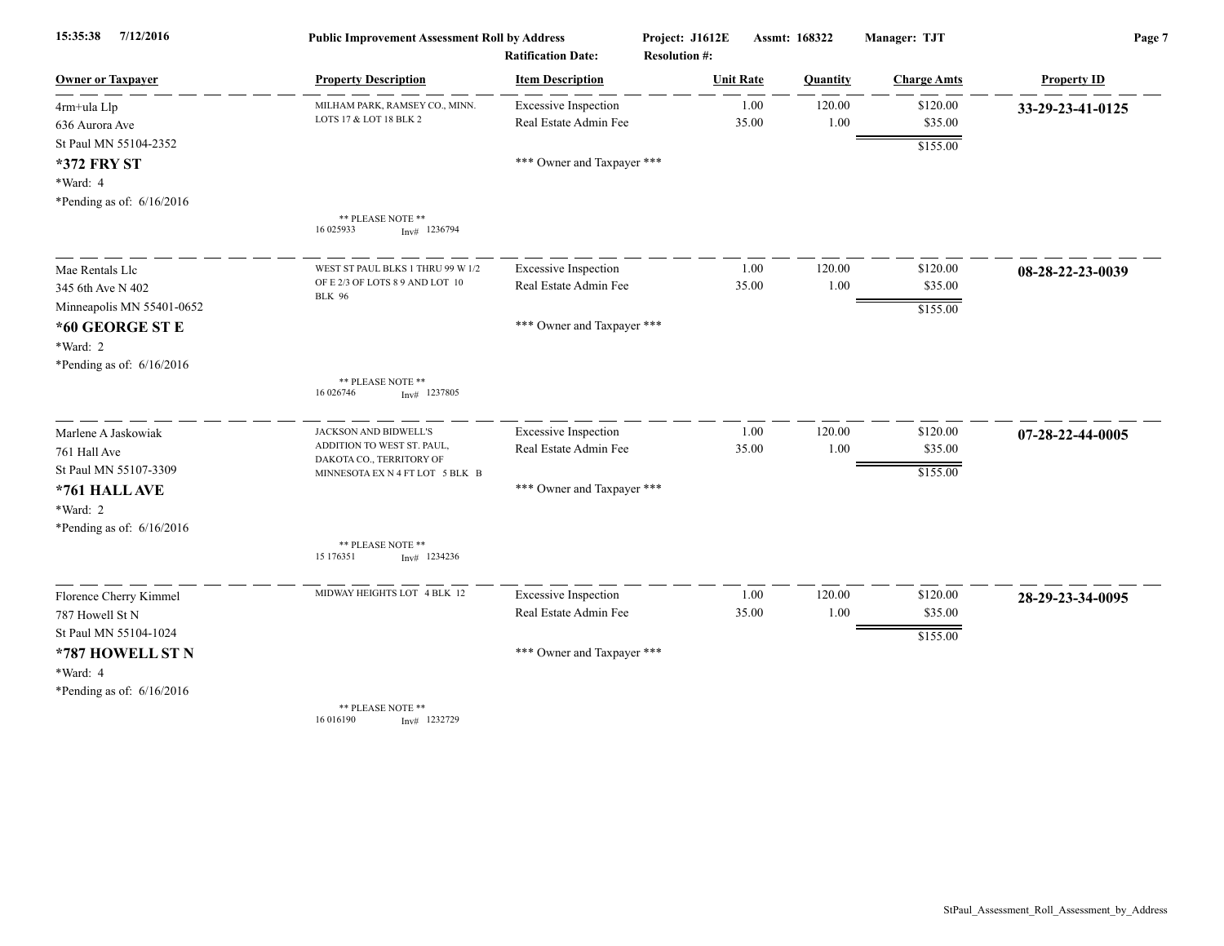| 15:35:38<br>7/12/2016                   | <b>Public Improvement Assessment Roll by Address</b><br><b>Ratification Date:</b> |                             | Project: J1612E<br><b>Resolution #:</b> | Assmt: 168322 |          | Manager: TJT       | Page 7             |  |
|-----------------------------------------|-----------------------------------------------------------------------------------|-----------------------------|-----------------------------------------|---------------|----------|--------------------|--------------------|--|
| <b>Owner or Taxpayer</b>                | <b>Property Description</b>                                                       | <b>Item Description</b>     | <b>Unit Rate</b>                        |               | Quantity | <b>Charge Amts</b> | <b>Property ID</b> |  |
| 4rm+ula Llp                             | MILHAM PARK, RAMSEY CO., MINN.                                                    | <b>Excessive Inspection</b> | 1.00                                    |               | 120.00   | \$120.00           | 33-29-23-41-0125   |  |
| 636 Aurora Ave                          | LOTS 17 & LOT 18 BLK 2                                                            | Real Estate Admin Fee       | 35.00                                   |               | 1.00     | \$35.00            |                    |  |
| St Paul MN 55104-2352                   |                                                                                   |                             |                                         |               |          | \$155.00           |                    |  |
| <b>*372 FRY ST</b>                      |                                                                                   | *** Owner and Taxpayer ***  |                                         |               |          |                    |                    |  |
| *Ward: 4<br>*Pending as of: $6/16/2016$ |                                                                                   |                             |                                         |               |          |                    |                    |  |
|                                         | ** PLEASE NOTE **<br>16 025933<br>$Inv#$ 1236794                                  |                             |                                         |               |          |                    |                    |  |
| Mae Rentals Llc                         | WEST ST PAUL BLKS 1 THRU 99 W 1/2                                                 | <b>Excessive Inspection</b> | 1.00                                    |               | 120.00   | \$120.00           | 08-28-22-23-0039   |  |
| 345 6th Ave N 402                       | OF E 2/3 OF LOTS 8 9 AND LOT 10<br><b>BLK 96</b>                                  | Real Estate Admin Fee       | 35.00                                   |               | 1.00     | \$35.00            |                    |  |
| Minneapolis MN 55401-0652               |                                                                                   |                             |                                         |               |          | \$155.00           |                    |  |
| *60 GEORGE ST E                         |                                                                                   | *** Owner and Taxpayer ***  |                                         |               |          |                    |                    |  |
| *Ward: 2                                |                                                                                   |                             |                                         |               |          |                    |                    |  |
| *Pending as of: 6/16/2016               | ** PLEASE NOTE **                                                                 |                             |                                         |               |          |                    |                    |  |
|                                         | 16 026746<br>$Inv#$ 1237805                                                       |                             |                                         |               |          |                    |                    |  |
| Marlene A Jaskowiak                     | JACKSON AND BIDWELL'S                                                             | <b>Excessive Inspection</b> | 1.00                                    |               | 120.00   | \$120.00           | 07-28-22-44-0005   |  |
| 761 Hall Ave                            | ADDITION TO WEST ST. PAUL,<br>DAKOTA CO., TERRITORY OF                            | Real Estate Admin Fee       | 35.00                                   |               | 1.00     | \$35.00            |                    |  |
| St Paul MN 55107-3309                   | MINNESOTA EX N 4 FT LOT 5 BLK B                                                   |                             |                                         |               |          | \$155.00           |                    |  |
| *761 HALL AVE                           |                                                                                   | *** Owner and Taxpayer ***  |                                         |               |          |                    |                    |  |
| *Ward: 2                                |                                                                                   |                             |                                         |               |          |                    |                    |  |
| *Pending as of: $6/16/2016$             | ** PLEASE NOTE **<br>15 176351<br>$Inv#$ 1234236                                  |                             |                                         |               |          |                    |                    |  |
|                                         |                                                                                   |                             |                                         |               |          |                    |                    |  |
| Florence Cherry Kimmel                  | MIDWAY HEIGHTS LOT 4 BLK 12                                                       | <b>Excessive Inspection</b> | 1.00                                    |               | 120.00   | \$120.00           | 28-29-23-34-0095   |  |
| 787 Howell St N                         |                                                                                   | Real Estate Admin Fee       | 35.00                                   |               | 1.00     | \$35.00            |                    |  |
| St Paul MN 55104-1024                   |                                                                                   |                             |                                         |               |          | \$155.00           |                    |  |
| *787 HOWELL ST N                        |                                                                                   | *** Owner and Taxpayer ***  |                                         |               |          |                    |                    |  |
| *Ward: 4                                |                                                                                   |                             |                                         |               |          |                    |                    |  |
| *Pending as of: $6/16/2016$             | ** PLEASE NOTE **                                                                 |                             |                                         |               |          |                    |                    |  |
|                                         | 16 016190<br>Inv# 1232729                                                         |                             |                                         |               |          |                    |                    |  |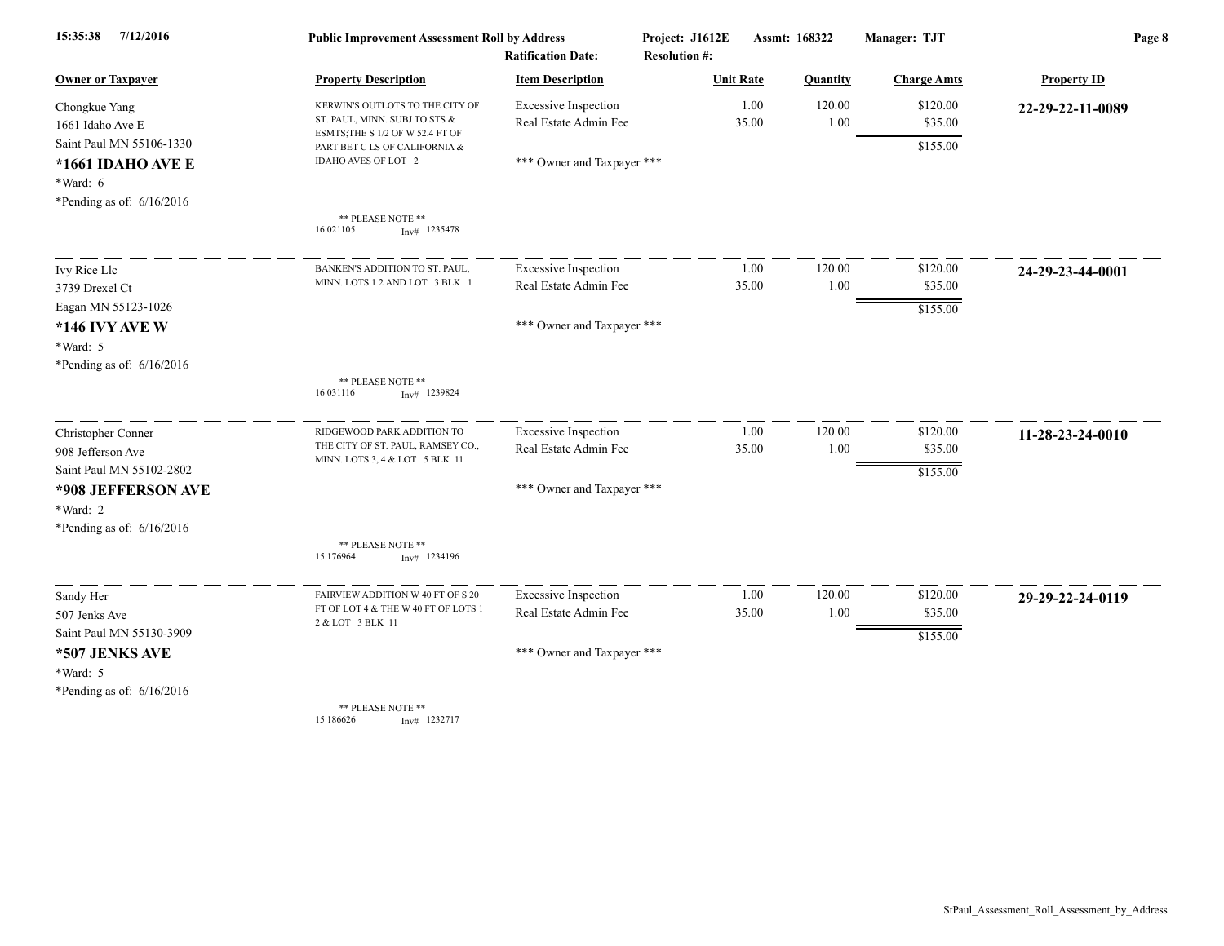| 7/12/2016<br>15:35:38                        | <b>Public Improvement Assessment Roll by Address</b><br><b>Ratification Date:</b> |                                                      | Project: J1612E<br><b>Resolution #:</b> |               | Assmt: 168322  | Manager: TJT        | Page 8             |  |
|----------------------------------------------|-----------------------------------------------------------------------------------|------------------------------------------------------|-----------------------------------------|---------------|----------------|---------------------|--------------------|--|
| <b>Owner or Taxpayer</b>                     | <b>Property Description</b>                                                       | <b>Item Description</b>                              | <b>Unit Rate</b>                        |               | Quantity       | <b>Charge Amts</b>  | <b>Property ID</b> |  |
| Chongkue Yang                                | KERWIN'S OUTLOTS TO THE CITY OF<br>ST. PAUL, MINN. SUBJ TO STS &                  | <b>Excessive Inspection</b><br>Real Estate Admin Fee |                                         | 1.00<br>35.00 | 120.00<br>1.00 | \$120.00<br>\$35.00 | 22-29-22-11-0089   |  |
| 1661 Idaho Ave E<br>Saint Paul MN 55106-1330 | ESMTS; THE S 1/2 OF W 52.4 FT OF                                                  |                                                      |                                         |               |                |                     |                    |  |
| *1661 IDAHO AVE E                            | PART BET C LS OF CALIFORNIA &<br>IDAHO AVES OF LOT 2                              | *** Owner and Taxpayer ***                           |                                         |               |                | \$155.00            |                    |  |
| *Ward: 6                                     |                                                                                   |                                                      |                                         |               |                |                     |                    |  |
| *Pending as of: $6/16/2016$                  |                                                                                   |                                                      |                                         |               |                |                     |                    |  |
|                                              | ** PLEASE NOTE **<br>16 021105<br>$Inv#$ 1235478                                  |                                                      |                                         |               |                |                     |                    |  |
| Ivy Rice Llc                                 | BANKEN'S ADDITION TO ST. PAUL.                                                    | <b>Excessive Inspection</b>                          |                                         | 1.00          | 120.00         | \$120.00            | 24-29-23-44-0001   |  |
| 3739 Drexel Ct                               | MINN. LOTS 1 2 AND LOT 3 BLK 1                                                    | Real Estate Admin Fee                                |                                         | 35.00         | 1.00           | \$35.00             |                    |  |
| Eagan MN 55123-1026                          |                                                                                   |                                                      |                                         |               |                | \$155.00            |                    |  |
| <b>*146 IVY AVE W</b>                        |                                                                                   | *** Owner and Taxpayer ***                           |                                         |               |                |                     |                    |  |
| *Ward: 5                                     |                                                                                   |                                                      |                                         |               |                |                     |                    |  |
| *Pending as of: $6/16/2016$                  |                                                                                   |                                                      |                                         |               |                |                     |                    |  |
|                                              | ** PLEASE NOTE **<br>16 03 1116<br>$Inv#$ 1239824                                 |                                                      |                                         |               |                |                     |                    |  |
| Christopher Conner                           | RIDGEWOOD PARK ADDITION TO                                                        | <b>Excessive Inspection</b>                          |                                         | 1.00          | 120.00         | \$120.00            | 11-28-23-24-0010   |  |
| 908 Jefferson Ave                            | THE CITY OF ST. PAUL, RAMSEY CO.,<br>MINN. LOTS 3, 4 & LOT 5 BLK 11               | Real Estate Admin Fee                                |                                         | 35.00         | 1.00           | \$35.00             |                    |  |
| Saint Paul MN 55102-2802                     |                                                                                   |                                                      |                                         |               |                | \$155.00            |                    |  |
| *908 JEFFERSON AVE                           |                                                                                   | *** Owner and Taxpayer ***                           |                                         |               |                |                     |                    |  |
| *Ward: 2                                     |                                                                                   |                                                      |                                         |               |                |                     |                    |  |
| *Pending as of: $6/16/2016$                  | ** PLEASE NOTE **                                                                 |                                                      |                                         |               |                |                     |                    |  |
|                                              | 15 176964<br>$Inv#$ 1234196                                                       |                                                      |                                         |               |                |                     |                    |  |
| Sandy Her                                    | FAIRVIEW ADDITION W 40 FT OF S 20                                                 | <b>Excessive Inspection</b>                          |                                         | 1.00          | 120.00         | \$120.00            | 29-29-22-24-0119   |  |
| 507 Jenks Ave                                | FT OF LOT 4 & THE W 40 FT OF LOTS 1<br>2 & LOT 3 BLK 11                           | Real Estate Admin Fee                                |                                         | 35.00         | 1.00           | \$35.00             |                    |  |
| Saint Paul MN 55130-3909                     |                                                                                   |                                                      |                                         |               |                | \$155.00            |                    |  |
| *507 JENKS AVE                               |                                                                                   | *** Owner and Taxpayer ***                           |                                         |               |                |                     |                    |  |
| $*Ward: 5$                                   |                                                                                   |                                                      |                                         |               |                |                     |                    |  |
| *Pending as of: $6/16/2016$                  |                                                                                   |                                                      |                                         |               |                |                     |                    |  |
|                                              | ** PLEASE NOTE **<br>15 186626<br>$Inv#$ 1232717                                  |                                                      |                                         |               |                |                     |                    |  |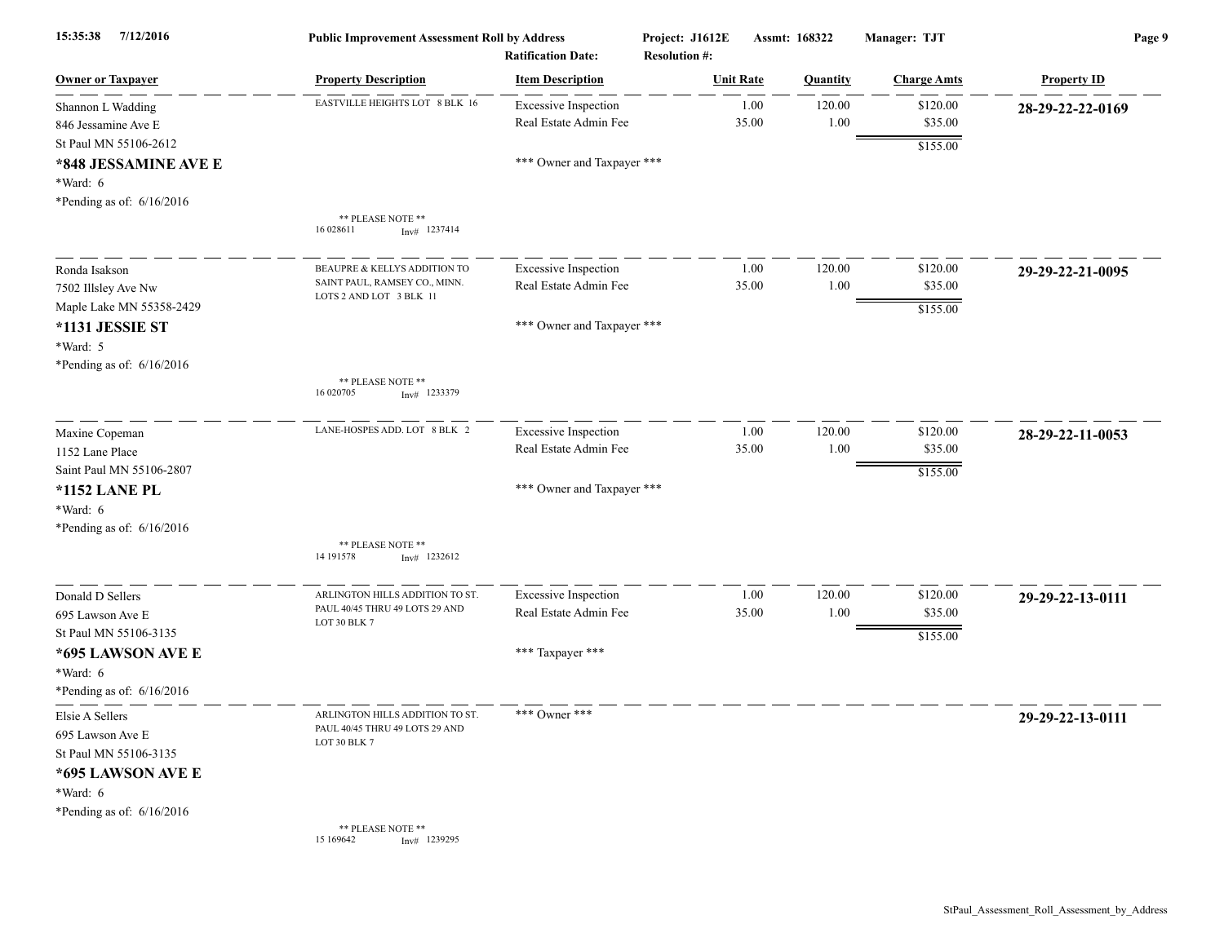| 7/12/2016<br>15:35:38                                     | <b>Public Improvement Assessment Roll by Address</b><br><b>Ratification Date:</b> |                                                      | Project: J1612E<br><b>Resolution #:</b> | Assmt: 168322    |                | Manager: TJT        | Page 9             |  |
|-----------------------------------------------------------|-----------------------------------------------------------------------------------|------------------------------------------------------|-----------------------------------------|------------------|----------------|---------------------|--------------------|--|
| <b>Owner or Taxpayer</b>                                  | <b>Property Description</b>                                                       | <b>Item Description</b>                              |                                         | <b>Unit Rate</b> | Quantity       | <b>Charge Amts</b>  | <b>Property ID</b> |  |
| Shannon L Wadding<br>846 Jessamine Ave E                  | EASTVILLE HEIGHTS LOT 8 BLK 16                                                    | <b>Excessive Inspection</b><br>Real Estate Admin Fee |                                         | 1.00<br>35.00    | 120.00<br>1.00 | \$120.00<br>\$35.00 | 28-29-22-22-0169   |  |
| St Paul MN 55106-2612<br>*848 JESSAMINE AVE E<br>*Ward: 6 |                                                                                   | *** Owner and Taxpayer ***                           |                                         |                  |                | \$155.00            |                    |  |
| *Pending as of: 6/16/2016                                 | ** PLEASE NOTE **<br>16 028611<br>$Inv#$ 1237414                                  |                                                      |                                         |                  |                |                     |                    |  |
| Ronda Isakson                                             | BEAUPRE & KELLYS ADDITION TO                                                      | <b>Excessive Inspection</b>                          |                                         | 1.00             | 120.00         | \$120.00            | 29-29-22-21-0095   |  |
| 7502 Illsley Ave Nw                                       | SAINT PAUL, RAMSEY CO., MINN.<br>LOTS 2 AND LOT 3 BLK 11                          | Real Estate Admin Fee                                |                                         | 35.00            | 1.00           | \$35.00             |                    |  |
| Maple Lake MN 55358-2429                                  |                                                                                   |                                                      |                                         |                  |                | \$155.00            |                    |  |
| *1131 JESSIE ST                                           |                                                                                   | *** Owner and Taxpayer ***                           |                                         |                  |                |                     |                    |  |
| *Ward: 5                                                  |                                                                                   |                                                      |                                         |                  |                |                     |                    |  |
| *Pending as of: $6/16/2016$                               | ** PLEASE NOTE **<br>16 020705<br>$Inv#$ 1233379                                  |                                                      |                                         |                  |                |                     |                    |  |
| Maxine Copeman                                            | LANE-HOSPES ADD. LOT 8 BLK 2                                                      | <b>Excessive Inspection</b>                          |                                         | 1.00             | 120.00         | \$120.00            | 28-29-22-11-0053   |  |
| 1152 Lane Place                                           |                                                                                   | Real Estate Admin Fee                                |                                         | 35.00            | 1.00           | \$35.00             |                    |  |
| Saint Paul MN 55106-2807                                  |                                                                                   |                                                      |                                         |                  |                | \$155.00            |                    |  |
| <b>*1152 LANE PL</b>                                      |                                                                                   | *** Owner and Taxpayer ***                           |                                         |                  |                |                     |                    |  |
| *Ward: 6                                                  |                                                                                   |                                                      |                                         |                  |                |                     |                    |  |
| *Pending as of: $6/16/2016$                               |                                                                                   |                                                      |                                         |                  |                |                     |                    |  |
|                                                           | ** PLEASE NOTE **<br>14 191578<br>$Inv#$ 1232612                                  |                                                      |                                         |                  |                |                     |                    |  |
| Donald D Sellers                                          | ARLINGTON HILLS ADDITION TO ST.                                                   | <b>Excessive Inspection</b>                          |                                         | 1.00             | 120.00         | \$120.00            | 29-29-22-13-0111   |  |
| 695 Lawson Ave E                                          | PAUL 40/45 THRU 49 LOTS 29 AND<br>LOT 30 BLK 7                                    | Real Estate Admin Fee                                |                                         | 35.00            | 1.00           | \$35.00             |                    |  |
| St Paul MN 55106-3135                                     |                                                                                   |                                                      |                                         |                  |                | \$155.00            |                    |  |
| *695 LAWSON AVE E                                         |                                                                                   | *** Taxpayer ***                                     |                                         |                  |                |                     |                    |  |
| *Ward: 6                                                  |                                                                                   |                                                      |                                         |                  |                |                     |                    |  |
| *Pending as of: $6/16/2016$                               |                                                                                   |                                                      |                                         |                  |                |                     |                    |  |
| Elsie A Sellers                                           | ARLINGTON HILLS ADDITION TO ST.                                                   | *** Owner ***                                        |                                         |                  |                |                     | 29-29-22-13-0111   |  |
| 695 Lawson Ave E                                          | PAUL 40/45 THRU 49 LOTS 29 AND<br>LOT 30 BLK 7                                    |                                                      |                                         |                  |                |                     |                    |  |
| St Paul MN 55106-3135                                     |                                                                                   |                                                      |                                         |                  |                |                     |                    |  |
| *695 LAWSON AVE E                                         |                                                                                   |                                                      |                                         |                  |                |                     |                    |  |
| *Ward: 6                                                  |                                                                                   |                                                      |                                         |                  |                |                     |                    |  |
| *Pending as of: $6/16/2016$                               |                                                                                   |                                                      |                                         |                  |                |                     |                    |  |
|                                                           | ** PLEASE NOTE **<br>Inv# 1239295<br>15 169642                                    |                                                      |                                         |                  |                |                     |                    |  |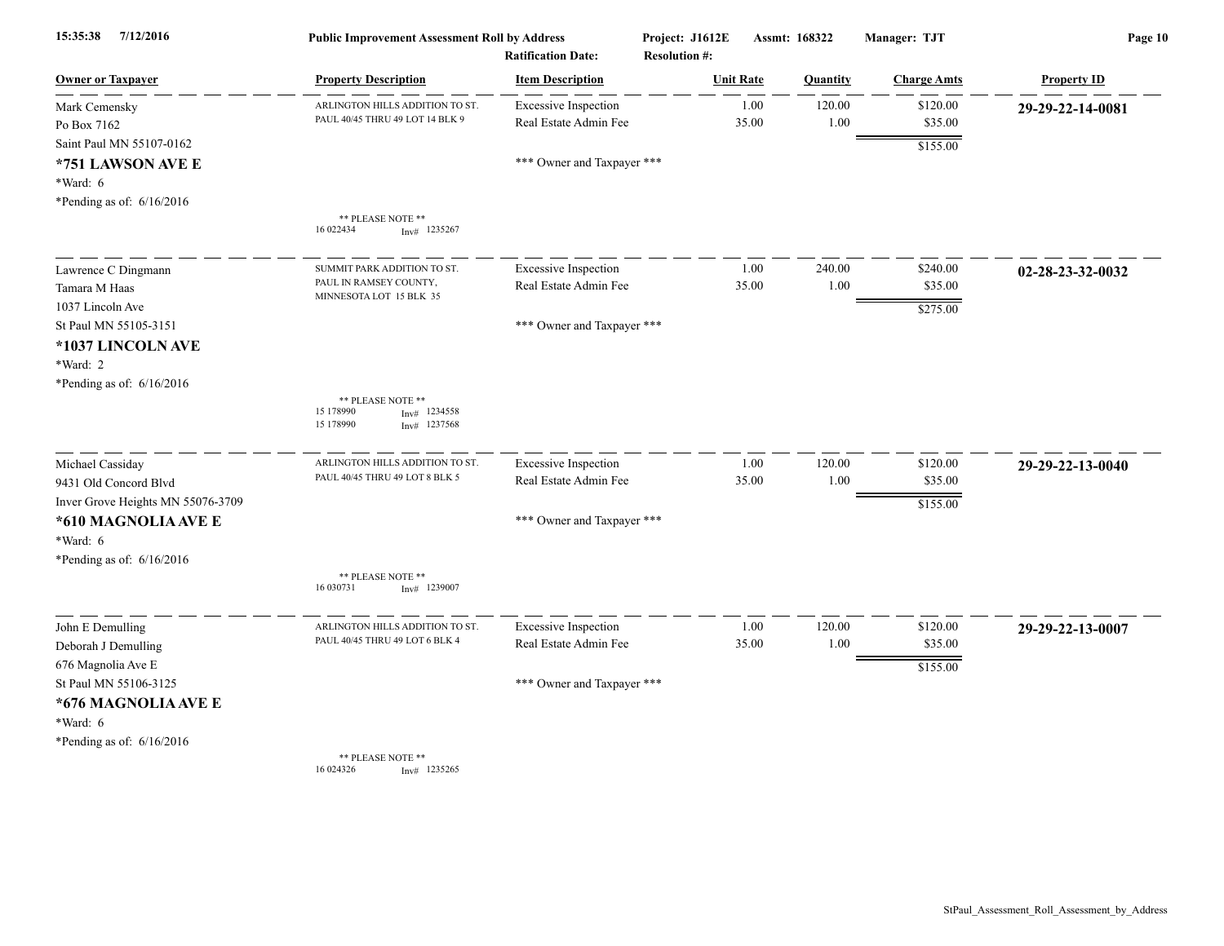| 7/12/2016<br>15:35:38                                                                    | <b>Public Improvement Assessment Roll by Address</b><br><b>Ratification Date:</b> |                                                      | Project: J1612E<br><b>Resolution #:</b> | Assmt: 168322    |                    | Manager: TJT        | Page 10            |  |
|------------------------------------------------------------------------------------------|-----------------------------------------------------------------------------------|------------------------------------------------------|-----------------------------------------|------------------|--------------------|---------------------|--------------------|--|
| <b>Owner or Taxpayer</b>                                                                 | <b>Property Description</b>                                                       | <b>Item Description</b>                              |                                         | <b>Unit Rate</b> | Quantity           | <b>Charge Amts</b>  | <b>Property ID</b> |  |
| Mark Cemensky<br>Po Box 7162                                                             | ARLINGTON HILLS ADDITION TO ST<br>PAUL 40/45 THRU 49 LOT 14 BLK 9                 | <b>Excessive Inspection</b><br>Real Estate Admin Fee |                                         | 1.00<br>35.00    | 120.00<br>$1.00\,$ | \$120.00<br>\$35.00 | 29-29-22-14-0081   |  |
| Saint Paul MN 55107-0162<br>*751 LAWSON AVE E<br>*Ward: 6<br>*Pending as of: $6/16/2016$ |                                                                                   | *** Owner and Taxpayer ***                           |                                         |                  |                    | \$155.00            |                    |  |
|                                                                                          | ** PLEASE NOTE **<br>16 022434<br>$Inv#$ 1235267                                  |                                                      |                                         |                  |                    |                     |                    |  |
| Lawrence C Dingmann                                                                      | SUMMIT PARK ADDITION TO ST.<br>PAUL IN RAMSEY COUNTY,                             | <b>Excessive Inspection</b>                          |                                         | 1.00             | 240.00             | \$240.00            | 02-28-23-32-0032   |  |
| Tamara M Haas<br>1037 Lincoln Ave                                                        | MINNESOTA LOT 15 BLK 35                                                           | Real Estate Admin Fee                                |                                         | 35.00            | 1.00               | \$35.00<br>\$275.00 |                    |  |
| St Paul MN 55105-3151<br>*1037 LINCOLN AVE<br>*Ward: 2<br>*Pending as of: 6/16/2016      |                                                                                   | *** Owner and Taxpayer ***                           |                                         |                  |                    |                     |                    |  |
|                                                                                          | ** PLEASE NOTE **<br>15 178990<br>1234558<br>Inv#<br>15 178990<br>$Inv#$ 1237568  |                                                      |                                         |                  |                    |                     |                    |  |
| Michael Cassiday                                                                         | ARLINGTON HILLS ADDITION TO ST<br>PAUL 40/45 THRU 49 LOT 8 BLK 5                  | <b>Excessive Inspection</b><br>Real Estate Admin Fee |                                         | 1.00<br>35.00    | 120.00<br>1.00     | \$120.00<br>\$35.00 | 29-29-22-13-0040   |  |
| 9431 Old Concord Blvd<br>Inver Grove Heights MN 55076-3709                               |                                                                                   |                                                      |                                         |                  |                    | \$155.00            |                    |  |
| *610 MAGNOLIA AVE E<br>*Ward: 6<br>*Pending as of: 6/16/2016                             |                                                                                   | *** Owner and Taxpayer ***                           |                                         |                  |                    |                     |                    |  |
|                                                                                          | ** PLEASE NOTE **<br>16 03 0731<br>$Inv#$ 1239007                                 |                                                      |                                         |                  |                    |                     |                    |  |
| John E Demulling<br>Deborah J Demulling                                                  | ARLINGTON HILLS ADDITION TO ST.<br>PAUL 40/45 THRU 49 LOT 6 BLK 4                 | <b>Excessive Inspection</b><br>Real Estate Admin Fee |                                         | 1.00<br>35.00    | 120.00<br>1.00     | \$120.00<br>\$35.00 | 29-29-22-13-0007   |  |
| 676 Magnolia Ave E<br>St Paul MN 55106-3125                                              |                                                                                   | *** Owner and Taxpayer ***                           |                                         |                  |                    | \$155.00            |                    |  |
| *676 MAGNOLIA AVE E<br>*Ward: 6<br>*Pending as of: $6/16/2016$                           |                                                                                   |                                                      |                                         |                  |                    |                     |                    |  |
|                                                                                          | ** PLEASE NOTE **<br>16 024326<br>$Inv#$ 1235265                                  |                                                      |                                         |                  |                    |                     |                    |  |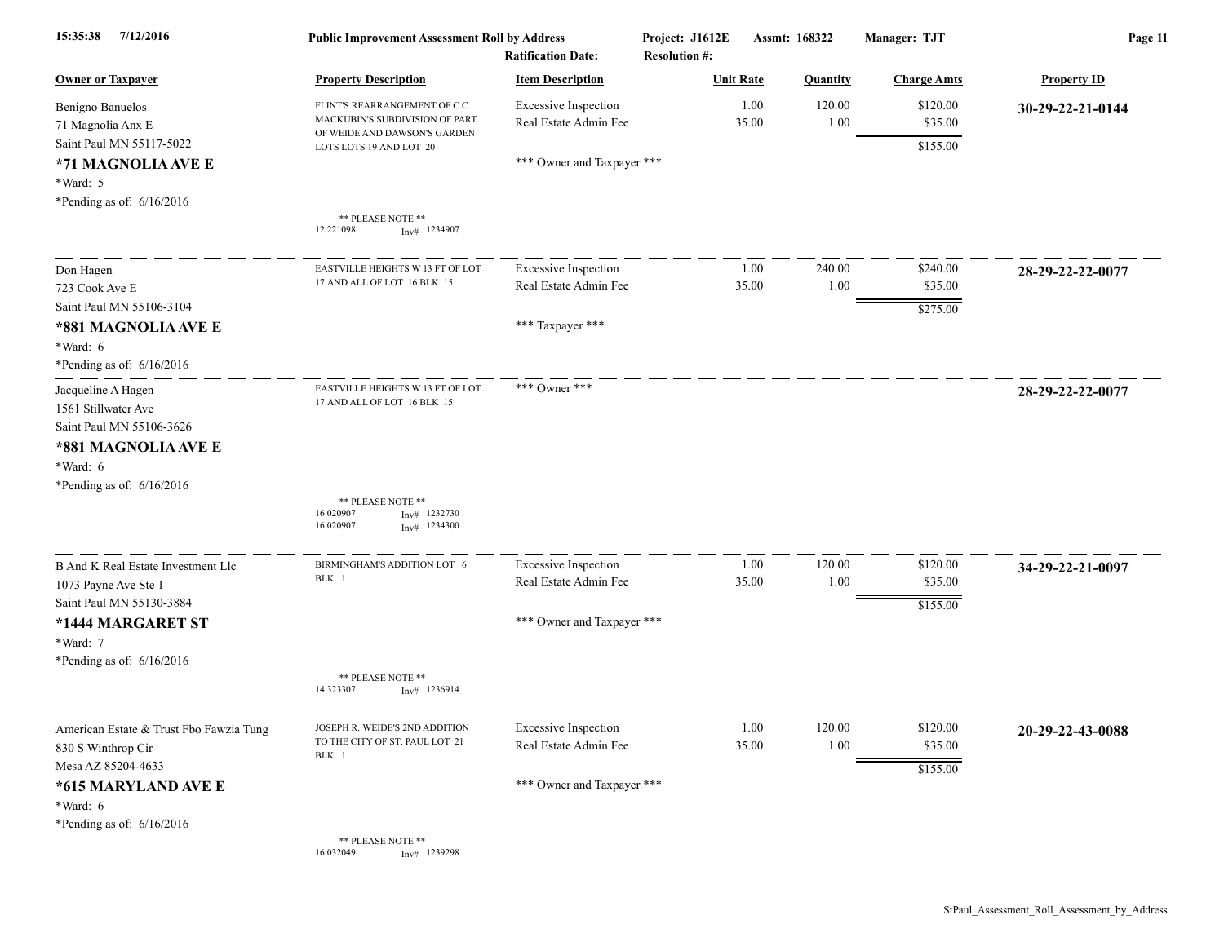| 7/12/2016<br>15:35:38                                                                                                                   | <b>Public Improvement Assessment Roll by Address</b><br><b>Ratification Date:</b>                                          |                                                      | Project: J1612E<br><b>Resolution #:</b> | Assmt: 168322  | Manager: TJT                    | Page 11            |  |
|-----------------------------------------------------------------------------------------------------------------------------------------|----------------------------------------------------------------------------------------------------------------------------|------------------------------------------------------|-----------------------------------------|----------------|---------------------------------|--------------------|--|
| <b>Owner or Taxpayer</b>                                                                                                                | <b>Property Description</b>                                                                                                | <b>Item Description</b>                              | <b>Unit Rate</b>                        | Quantity       | <b>Charge Amts</b>              | <b>Property ID</b> |  |
| Benigno Banuelos<br>71 Magnolia Anx E<br>Saint Paul MN 55117-5022                                                                       | FLINT'S REARRANGEMENT OF C.C.<br>MACKUBIN'S SUBDIVISION OF PART<br>OF WEIDE AND DAWSON'S GARDEN<br>LOTS LOTS 19 AND LOT 20 | <b>Excessive Inspection</b><br>Real Estate Admin Fee | 1.00<br>35.00                           | 120.00<br>1.00 | \$120.00<br>\$35.00<br>\$155.00 | 30-29-22-21-0144   |  |
| *71 MAGNOLIA AVE E<br>*Ward: 5<br>*Pending as of: 6/16/2016                                                                             |                                                                                                                            | *** Owner and Taxpayer ***                           |                                         |                |                                 |                    |  |
|                                                                                                                                         | ** PLEASE NOTE **<br>12 22 1098<br>$Inv#$ 1234907                                                                          |                                                      |                                         |                |                                 |                    |  |
| Don Hagen<br>723 Cook Ave E                                                                                                             | EASTVILLE HEIGHTS W 13 FT OF LOT<br>17 AND ALL OF LOT 16 BLK 15                                                            | <b>Excessive Inspection</b><br>Real Estate Admin Fee | 1.00<br>35.00                           | 240.00<br>1.00 | \$240.00<br>\$35.00             | 28-29-22-22-0077   |  |
| Saint Paul MN 55106-3104<br>*881 MAGNOLIA AVE E<br>*Ward: 6                                                                             |                                                                                                                            | *** Taxpayer ***                                     |                                         |                | \$275.00                        |                    |  |
| *Pending as of: $6/16/2016$<br>Jacqueline A Hagen<br>1561 Stillwater Ave<br>Saint Paul MN 55106-3626<br>*881 MAGNOLIA AVE E<br>*Ward: 6 | EASTVILLE HEIGHTS W 13 FT OF LOT<br>17 AND ALL OF LOT 16 BLK 15                                                            | *** Owner ***                                        |                                         |                |                                 | 28-29-22-22-0077   |  |
| *Pending as of: $6/16/2016$                                                                                                             | ** PLEASE NOTE **<br>16 020907<br>1232730<br>Inv#<br>16 020907<br>1234300<br>Inv#                                          |                                                      |                                         |                |                                 |                    |  |
| <b>B And K Real Estate Investment Llc</b><br>1073 Payne Ave Ste 1<br>Saint Paul MN 55130-3884                                           | BIRMINGHAM'S ADDITION LOT 6<br>BLK 1                                                                                       | <b>Excessive Inspection</b><br>Real Estate Admin Fee | 1.00<br>35.00                           | 120.00<br>1.00 | \$120.00<br>\$35.00<br>\$155.00 | 34-29-22-21-0097   |  |
| *1444 MARGARET ST<br>*Ward: 7<br>*Pending as of: $6/16/2016$                                                                            |                                                                                                                            | *** Owner and Taxpayer ***                           |                                         |                |                                 |                    |  |
|                                                                                                                                         | ** PLEASE NOTE **<br>14 323307<br>$Inv#$ 1236914                                                                           |                                                      |                                         |                |                                 |                    |  |
| American Estate & Trust Fbo Fawzia Tung<br>830 S Winthrop Cir<br>Mesa AZ 85204-4633                                                     | JOSEPH R. WEIDE'S 2ND ADDITION<br>TO THE CITY OF ST. PAUL LOT 21<br>BLK 1                                                  | <b>Excessive Inspection</b><br>Real Estate Admin Fee | 1.00<br>35.00                           | 120.00<br>1.00 | \$120.00<br>\$35.00<br>\$155.00 | 20-29-22-43-0088   |  |
| *615 MARYLAND AVE E<br>*Ward: $6$<br>*Pending as of: 6/16/2016                                                                          |                                                                                                                            | *** Owner and Taxpayer ***                           |                                         |                |                                 |                    |  |
|                                                                                                                                         | ** PLEASE NOTE **<br>16 03 2049<br>$Inv#$ 1239298                                                                          |                                                      |                                         |                |                                 |                    |  |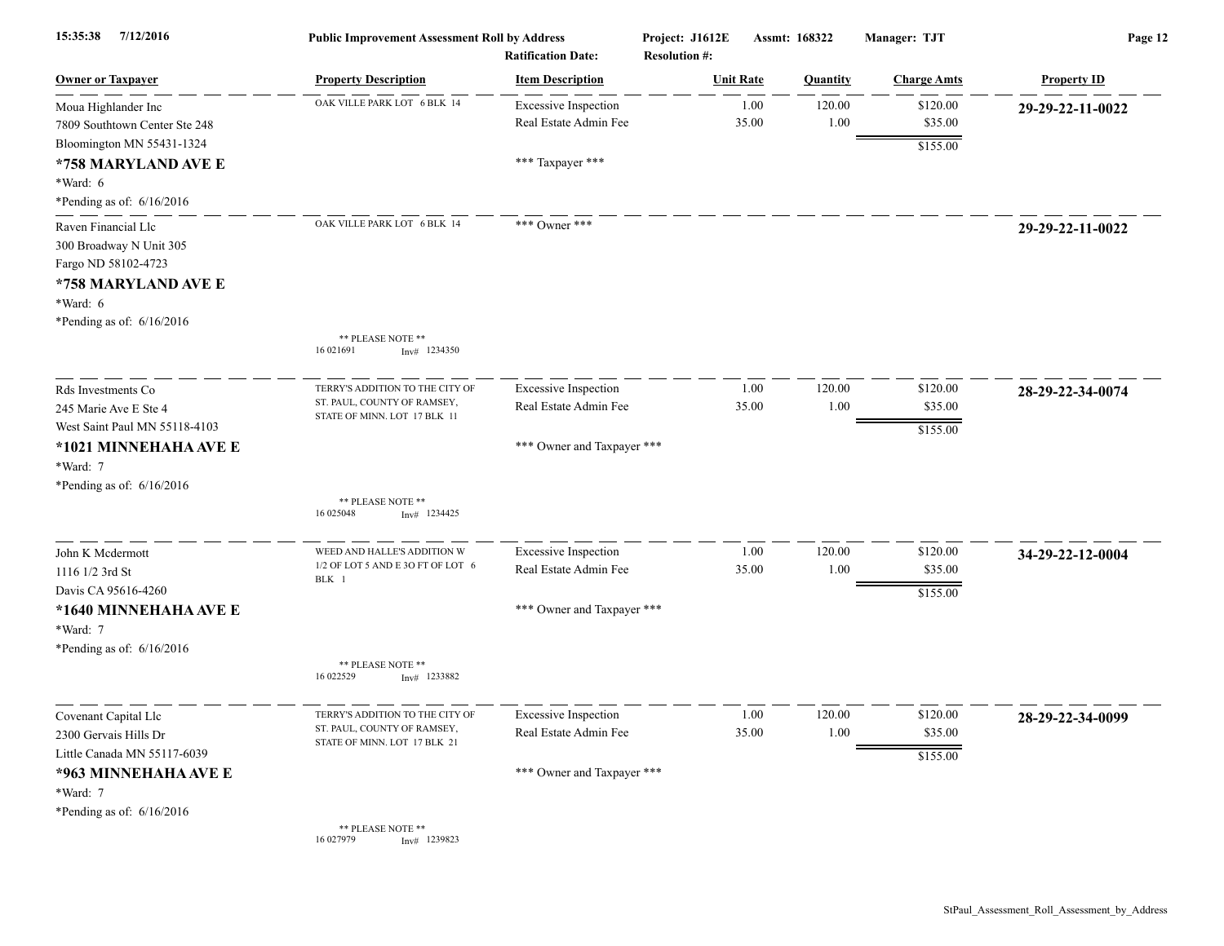| 7/12/2016<br>15:35:38                                                                                                                   | <b>Public Improvement Assessment Roll by Address</b><br><b>Ratification Date:</b>              |                                                                                    | Project: J1612E<br><b>Resolution #:</b> |                  | Assmt: 168322      | Manager: TJT                    | Page 12            |  |
|-----------------------------------------------------------------------------------------------------------------------------------------|------------------------------------------------------------------------------------------------|------------------------------------------------------------------------------------|-----------------------------------------|------------------|--------------------|---------------------------------|--------------------|--|
| <b>Owner or Taxpayer</b>                                                                                                                | <b>Property Description</b>                                                                    | <b>Item Description</b>                                                            |                                         | <b>Unit Rate</b> | <b>Ouantity</b>    | <b>Charge Amts</b>              | <b>Property ID</b> |  |
| Moua Highlander Inc<br>7809 Southtown Center Ste 248<br>Bloomington MN 55431-1324                                                       | OAK VILLE PARK LOT 6 BLK 14                                                                    | <b>Excessive Inspection</b><br>Real Estate Admin Fee                               |                                         | 1.00<br>35.00    | 120.00<br>$1.00\,$ | \$120.00<br>\$35.00<br>\$155.00 | 29-29-22-11-0022   |  |
| *758 MARYLAND AVE E<br>$*Ward: 6$<br>*Pending as of: $6/16/2016$                                                                        |                                                                                                | *** Taxpayer ***                                                                   |                                         |                  |                    |                                 |                    |  |
| Raven Financial Llc<br>300 Broadway N Unit 305<br>Fargo ND 58102-4723<br>*758 MARYLAND AVE E<br>*Ward: 6<br>*Pending as of: $6/16/2016$ | OAK VILLE PARK LOT 6 BLK 14<br>** PLEASE NOTE **<br>16 02 1691<br>$Inv#$ 1234350               | *** Owner ***                                                                      |                                         |                  |                    |                                 | 29-29-22-11-0022   |  |
| Rds Investments Co<br>245 Marie Ave E Ste 4<br>West Saint Paul MN 55118-4103<br>*1021 MINNEHAHA AVE E                                   | TERRY'S ADDITION TO THE CITY OF<br>ST. PAUL, COUNTY OF RAMSEY,<br>STATE OF MINN. LOT 17 BLK 11 | <b>Excessive Inspection</b><br>Real Estate Admin Fee<br>*** Owner and Taxpayer *** |                                         | 1.00<br>35.00    | 120.00<br>1.00     | \$120.00<br>\$35.00<br>\$155.00 | 28-29-22-34-0074   |  |
| *Ward: 7<br>*Pending as of: 6/16/2016                                                                                                   | ** PLEASE NOTE **<br>16 025048<br>$Inv#$ 1234425                                               |                                                                                    |                                         |                  |                    |                                 |                    |  |
| John K Mcdermott<br>1116 1/2 3rd St<br>Davis CA 95616-4260<br>*1640 MINNEHAHA AVE E<br>*Ward: 7                                         | WEED AND HALLE'S ADDITION W<br>1/2 OF LOT 5 AND E 3O FT OF LOT 6<br>BLK 1                      | <b>Excessive Inspection</b><br>Real Estate Admin Fee<br>*** Owner and Taxpayer *** |                                         | 1.00<br>35.00    | 120.00<br>1.00     | \$120.00<br>\$35.00<br>\$155.00 | 34-29-22-12-0004   |  |
| *Pending as of: $6/16/2016$                                                                                                             | ** PLEASE NOTE **<br>16 022529<br>$Inv#$ 1233882                                               |                                                                                    |                                         |                  |                    |                                 |                    |  |
| Covenant Capital Llc<br>2300 Gervais Hills Dr<br>Little Canada MN 55117-6039<br>*963 MINNEHAHA AVE E                                    | TERRY'S ADDITION TO THE CITY OF<br>ST. PAUL, COUNTY OF RAMSEY,<br>STATE OF MINN. LOT 17 BLK 21 | <b>Excessive Inspection</b><br>Real Estate Admin Fee<br>*** Owner and Taxpayer *** |                                         | 1.00<br>35.00    | 120.00<br>1.00     | \$120.00<br>\$35.00<br>\$155.00 | 28-29-22-34-0099   |  |
| *Ward: 7<br>*Pending as of: 6/16/2016                                                                                                   | ** PLEASE NOTE **<br>16 027979<br>$Inv#$ 1239823                                               |                                                                                    |                                         |                  |                    |                                 |                    |  |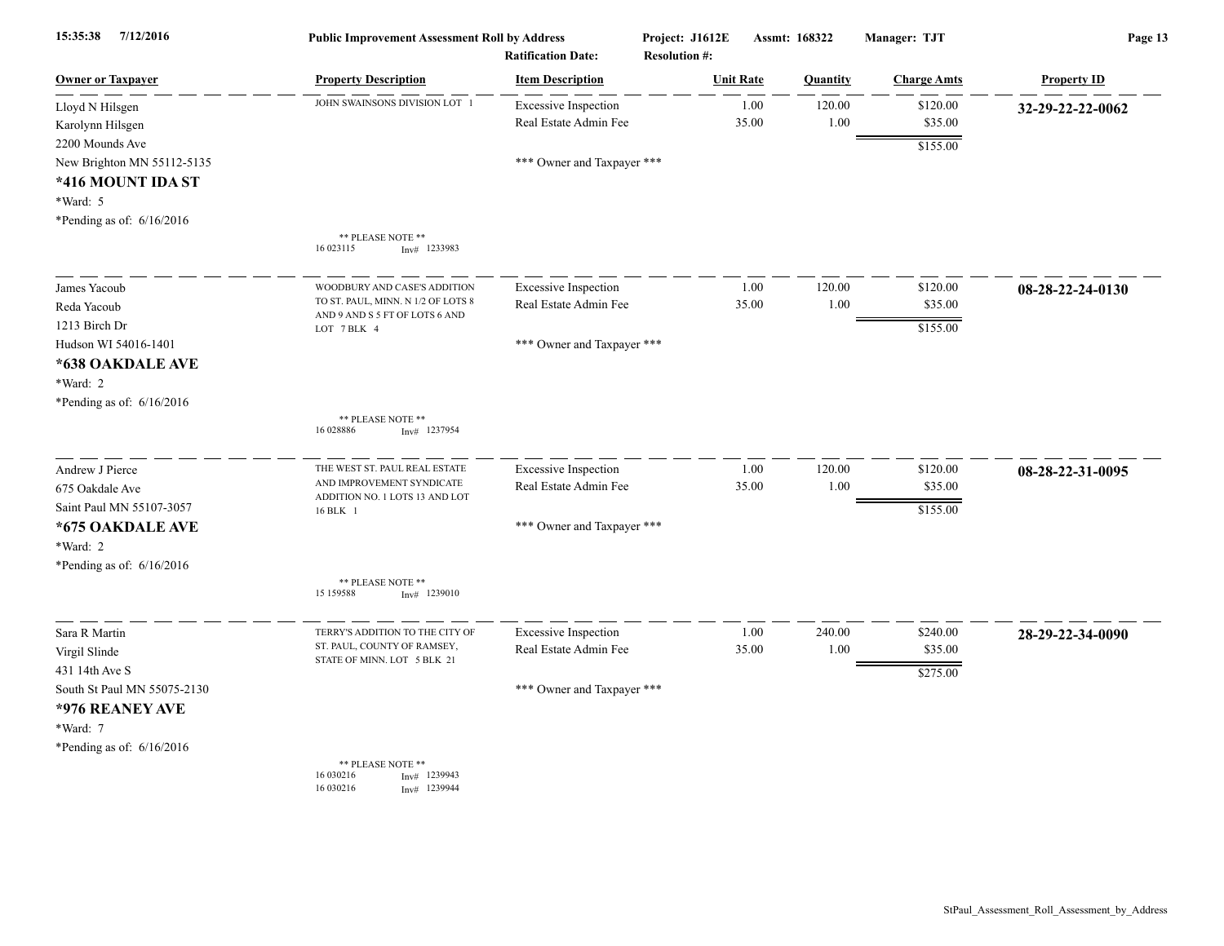| 15:35:38<br>7/12/2016                                                                                       | <b>Public Improvement Assessment Roll by Address</b><br><b>Ratification Date:</b> |                                                      | Project: J1612E<br><b>Resolution #:</b> | Assmt: 168322  |                     | Page 13            |  |
|-------------------------------------------------------------------------------------------------------------|-----------------------------------------------------------------------------------|------------------------------------------------------|-----------------------------------------|----------------|---------------------|--------------------|--|
| <b>Owner or Taxpayer</b>                                                                                    | <b>Property Description</b>                                                       | <b>Item Description</b>                              | <b>Unit Rate</b>                        | Quantity       | <b>Charge Amts</b>  | <b>Property ID</b> |  |
| Lloyd N Hilsgen<br>Karolynn Hilsgen                                                                         | JOHN SWAINSONS DIVISION LOT 1                                                     | <b>Excessive Inspection</b><br>Real Estate Admin Fee | 1.00<br>35.00                           | 120.00<br>1.00 | \$120.00<br>\$35.00 | 32-29-22-22-0062   |  |
| 2200 Mounds Ave<br>New Brighton MN 55112-5135<br>*416 MOUNT IDA ST<br>*Ward: 5<br>*Pending as of: 6/16/2016 | ** PLEASE NOTE **<br>16 023115<br>$Inv#$ 1233983                                  | *** Owner and Taxpayer ***                           |                                         |                | \$155.00            |                    |  |
|                                                                                                             |                                                                                   |                                                      |                                         |                |                     |                    |  |
| James Yacoub                                                                                                | WOODBURY AND CASE'S ADDITION<br>TO ST. PAUL, MINN. N 1/2 OF LOTS 8                | <b>Excessive Inspection</b>                          | 1.00                                    | 120.00         | \$120.00            | 08-28-22-24-0130   |  |
| Reda Yacoub                                                                                                 | AND 9 AND S 5 FT OF LOTS 6 AND                                                    | Real Estate Admin Fee                                | 35.00                                   | 1.00           | \$35.00             |                    |  |
| 1213 Birch Dr<br>Hudson WI 54016-1401                                                                       | LOT 7 BLK 4                                                                       | *** Owner and Taxpayer ***                           |                                         |                | \$155.00            |                    |  |
| *638 OAKDALE AVE<br>*Ward: 2                                                                                |                                                                                   |                                                      |                                         |                |                     |                    |  |
| *Pending as of: 6/16/2016                                                                                   | ** PLEASE NOTE **<br>16 028886<br>$Inv#$ 1237954                                  |                                                      |                                         |                |                     |                    |  |
| Andrew J Pierce                                                                                             | THE WEST ST. PAUL REAL ESTATE                                                     | <b>Excessive Inspection</b>                          | 1.00                                    | 120.00         | \$120.00            | 08-28-22-31-0095   |  |
| 675 Oakdale Ave                                                                                             | AND IMPROVEMENT SYNDICATE<br>ADDITION NO. 1 LOTS 13 AND LOT                       | Real Estate Admin Fee                                | 35.00                                   | 1.00           | \$35.00             |                    |  |
| Saint Paul MN 55107-3057                                                                                    | 16 BLK 1                                                                          |                                                      |                                         |                | \$155.00            |                    |  |
| *675 OAKDALE AVE                                                                                            |                                                                                   | *** Owner and Taxpayer ***                           |                                         |                |                     |                    |  |
| *Ward: 2                                                                                                    |                                                                                   |                                                      |                                         |                |                     |                    |  |
| *Pending as of: $6/16/2016$                                                                                 | ** PLEASE NOTE **<br>15 15 9588<br>$Inv#$ 1239010                                 |                                                      |                                         |                |                     |                    |  |
| Sara R Martin                                                                                               | TERRY'S ADDITION TO THE CITY OF                                                   | <b>Excessive Inspection</b>                          | 1.00                                    | 240.00         | \$240.00            | 28-29-22-34-0090   |  |
| Virgil Slinde                                                                                               | ST. PAUL, COUNTY OF RAMSEY,<br>STATE OF MINN. LOT 5 BLK 21                        | Real Estate Admin Fee                                | 35.00                                   | 1.00           | \$35.00             |                    |  |
| 431 14th Ave S                                                                                              |                                                                                   |                                                      |                                         |                | \$275.00            |                    |  |
| South St Paul MN 55075-2130                                                                                 |                                                                                   | *** Owner and Taxpayer ***                           |                                         |                |                     |                    |  |
| *976 REANEY AVE                                                                                             |                                                                                   |                                                      |                                         |                |                     |                    |  |
| *Ward: 7                                                                                                    |                                                                                   |                                                      |                                         |                |                     |                    |  |
| *Pending as of: $6/16/2016$                                                                                 |                                                                                   |                                                      |                                         |                |                     |                    |  |
|                                                                                                             | ** PLEASE NOTE **<br>16 030216<br>Inv# 1239943<br>16 030216<br>Inv# 1239944       |                                                      |                                         |                |                     |                    |  |

StPaul\_Assessment\_Roll\_Assessment\_by\_Address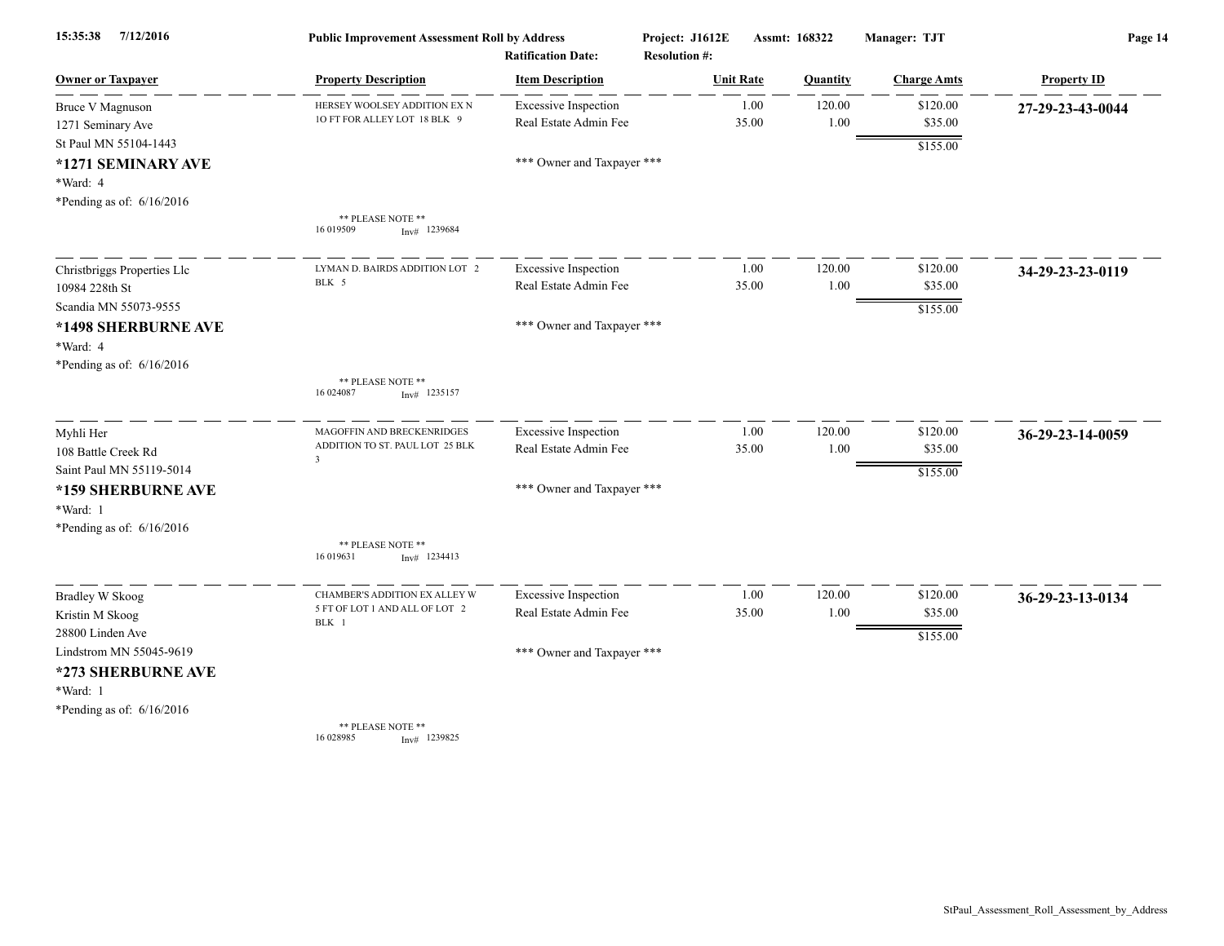| 7/12/2016<br>15:35:38       | <b>Public Improvement Assessment Roll by Address</b><br><b>Ratification Date:</b> |                             | Assmt: 168322<br>Project: J1612E<br><b>Resolution #:</b> |       |          | Manager: TJT       | Page 14            |  |
|-----------------------------|-----------------------------------------------------------------------------------|-----------------------------|----------------------------------------------------------|-------|----------|--------------------|--------------------|--|
| <b>Owner or Taxpayer</b>    | <b>Property Description</b>                                                       | <b>Item Description</b>     | <b>Unit Rate</b>                                         |       | Quantity | <b>Charge Amts</b> | <b>Property ID</b> |  |
| <b>Bruce V Magnuson</b>     | HERSEY WOOLSEY ADDITION EX N                                                      | <b>Excessive Inspection</b> |                                                          | 1.00  | 120.00   | \$120.00           | 27-29-23-43-0044   |  |
| 1271 Seminary Ave           | 10 FT FOR ALLEY LOT 18 BLK 9                                                      | Real Estate Admin Fee       |                                                          | 35.00 | 1.00     | \$35.00            |                    |  |
| St Paul MN 55104-1443       |                                                                                   |                             |                                                          |       |          | \$155.00           |                    |  |
| *1271 SEMINARY AVE          |                                                                                   | *** Owner and Taxpayer ***  |                                                          |       |          |                    |                    |  |
| *Ward: 4                    |                                                                                   |                             |                                                          |       |          |                    |                    |  |
| *Pending as of: $6/16/2016$ |                                                                                   |                             |                                                          |       |          |                    |                    |  |
|                             | ** PLEASE NOTE **<br>16 019509<br>$Inv#$ 1239684                                  |                             |                                                          |       |          |                    |                    |  |
| Christbriggs Properties Llc | LYMAN D. BAIRDS ADDITION LOT 2                                                    | <b>Excessive Inspection</b> |                                                          | 1.00  | 120.00   | \$120.00           | 34-29-23-23-0119   |  |
| 10984 228th St              | BLK 5                                                                             | Real Estate Admin Fee       |                                                          | 35.00 | 1.00     | \$35.00            |                    |  |
| Scandia MN 55073-9555       |                                                                                   |                             |                                                          |       |          | \$155.00           |                    |  |
| *1498 SHERBURNE AVE         |                                                                                   | *** Owner and Taxpayer ***  |                                                          |       |          |                    |                    |  |
| *Ward: 4                    |                                                                                   |                             |                                                          |       |          |                    |                    |  |
| *Pending as of: $6/16/2016$ |                                                                                   |                             |                                                          |       |          |                    |                    |  |
|                             | ** PLEASE NOTE **<br>16 024087<br>$Inv#$ 1235157                                  |                             |                                                          |       |          |                    |                    |  |
| Myhli Her                   | MAGOFFIN AND BRECKENRIDGES                                                        | <b>Excessive Inspection</b> |                                                          | 1.00  | 120.00   | \$120.00           | 36-29-23-14-0059   |  |
| 108 Battle Creek Rd         | ADDITION TO ST. PAUL LOT 25 BLK<br>$\overline{\mathbf{3}}$                        | Real Estate Admin Fee       |                                                          | 35.00 | 1.00     | \$35.00            |                    |  |
| Saint Paul MN 55119-5014    |                                                                                   |                             |                                                          |       |          | \$155.00           |                    |  |
| *159 SHERBURNE AVE          |                                                                                   | *** Owner and Taxpayer ***  |                                                          |       |          |                    |                    |  |
| *Ward: 1                    |                                                                                   |                             |                                                          |       |          |                    |                    |  |
| *Pending as of: 6/16/2016   |                                                                                   |                             |                                                          |       |          |                    |                    |  |
|                             | ** PLEASE NOTE **<br>16 019631<br>$Inv#$ 1234413                                  |                             |                                                          |       |          |                    |                    |  |
| <b>Bradley W Skoog</b>      | CHAMBER'S ADDITION EX ALLEY W                                                     | <b>Excessive Inspection</b> |                                                          | 1.00  | 120.00   | \$120.00           | 36-29-23-13-0134   |  |
| Kristin M Skoog             | 5 FT OF LOT 1 AND ALL OF LOT 2<br>BLK 1                                           | Real Estate Admin Fee       |                                                          | 35.00 | 1.00     | \$35.00            |                    |  |
| 28800 Linden Ave            |                                                                                   |                             |                                                          |       |          | \$155.00           |                    |  |
| Lindstrom MN 55045-9619     |                                                                                   | *** Owner and Taxpayer ***  |                                                          |       |          |                    |                    |  |
| *273 SHERBURNE AVE          |                                                                                   |                             |                                                          |       |          |                    |                    |  |
| *Ward: 1                    |                                                                                   |                             |                                                          |       |          |                    |                    |  |
| *Pending as of: $6/16/2016$ |                                                                                   |                             |                                                          |       |          |                    |                    |  |
|                             | ** PLEASE NOTE **<br>16 028985<br>$Inv#$ 1239825                                  |                             |                                                          |       |          |                    |                    |  |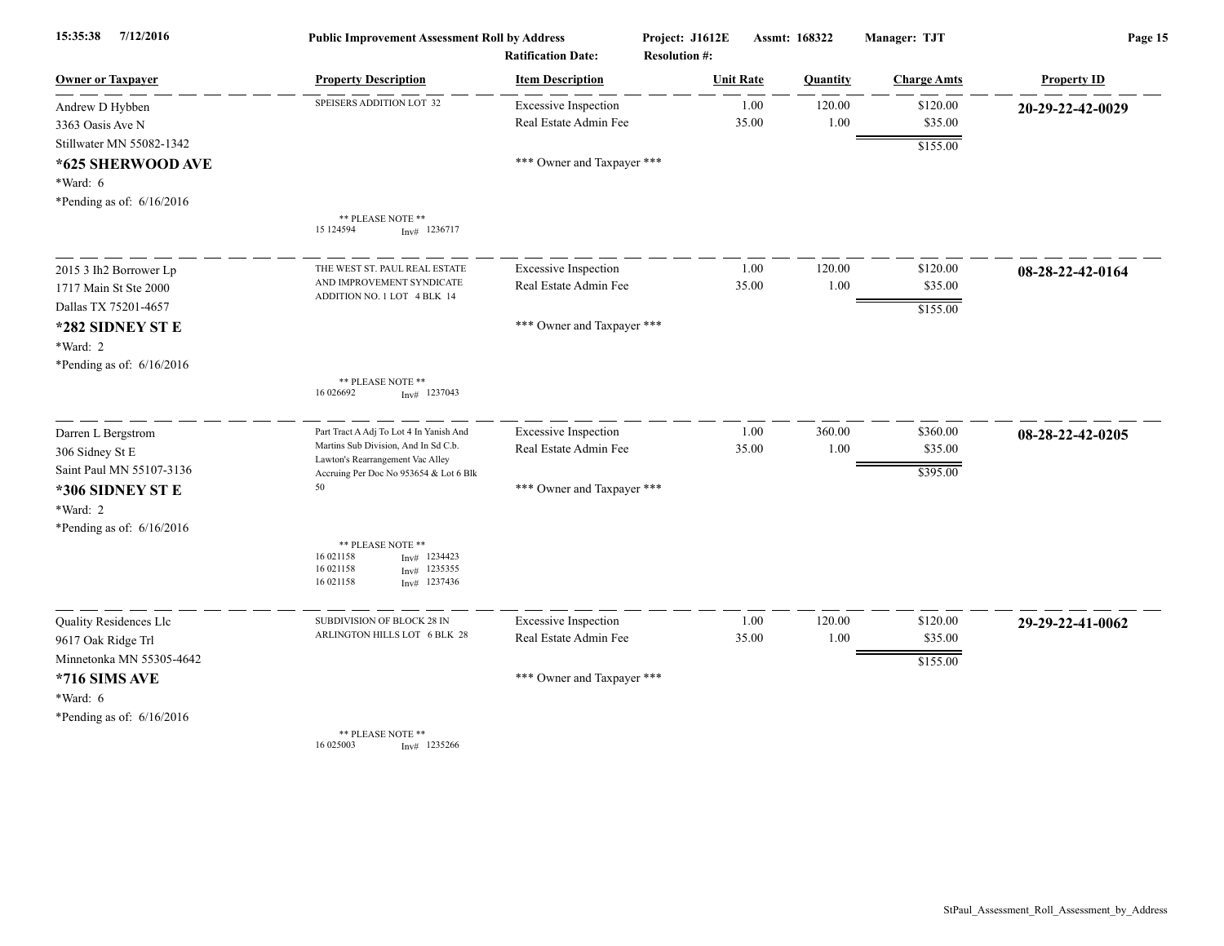| 7/12/2016<br>15:35:38       | <b>Public Improvement Assessment Roll by Address</b><br><b>Ratification Date:</b>                                |                             | Project: J1612E<br><b>Resolution #:</b> |       |                 | Assmt: 168322      |                    | Manager: TJT | Page 15 |  |
|-----------------------------|------------------------------------------------------------------------------------------------------------------|-----------------------------|-----------------------------------------|-------|-----------------|--------------------|--------------------|--------------|---------|--|
| <b>Owner or Taxpayer</b>    | <b>Property Description</b>                                                                                      | <b>Item Description</b>     | <b>Unit Rate</b>                        |       | <b>Ouantity</b> | <b>Charge Amts</b> | <b>Property ID</b> |              |         |  |
| Andrew D Hybben             | SPEISERS ADDITION LOT 32                                                                                         | <b>Excessive Inspection</b> |                                         | 1.00  | 120.00          | \$120.00           | 20-29-22-42-0029   |              |         |  |
| 3363 Oasis Ave N            |                                                                                                                  | Real Estate Admin Fee       |                                         | 35.00 | 1.00            | \$35.00            |                    |              |         |  |
| Stillwater MN 55082-1342    |                                                                                                                  |                             |                                         |       |                 | \$155.00           |                    |              |         |  |
| *625 SHERWOOD AVE           |                                                                                                                  | *** Owner and Taxpayer ***  |                                         |       |                 |                    |                    |              |         |  |
| *Ward: 6                    |                                                                                                                  |                             |                                         |       |                 |                    |                    |              |         |  |
| *Pending as of: $6/16/2016$ |                                                                                                                  |                             |                                         |       |                 |                    |                    |              |         |  |
|                             | ** PLEASE NOTE **<br>15 124594<br>$Inv#$ 1236717                                                                 |                             |                                         |       |                 |                    |                    |              |         |  |
| 2015 3 Ih2 Borrower Lp      | THE WEST ST. PAUL REAL ESTATE                                                                                    | <b>Excessive Inspection</b> |                                         | 1.00  | 120.00          | \$120.00           | 08-28-22-42-0164   |              |         |  |
| 1717 Main St Ste 2000       | AND IMPROVEMENT SYNDICATE                                                                                        | Real Estate Admin Fee       |                                         | 35.00 | 1.00            | \$35.00            |                    |              |         |  |
| Dallas TX 75201-4657        | ADDITION NO. 1 LOT 4 BLK 14                                                                                      |                             |                                         |       |                 | \$155.00           |                    |              |         |  |
| *282 SIDNEY ST E            |                                                                                                                  | *** Owner and Taxpayer ***  |                                         |       |                 |                    |                    |              |         |  |
| *Ward: 2                    |                                                                                                                  |                             |                                         |       |                 |                    |                    |              |         |  |
| *Pending as of: $6/16/2016$ |                                                                                                                  |                             |                                         |       |                 |                    |                    |              |         |  |
|                             | ** PLEASE NOTE **<br>16 026692<br>$Inv#$ 1237043                                                                 |                             |                                         |       |                 |                    |                    |              |         |  |
| Darren L Bergstrom          | Part Tract A Adj To Lot 4 In Yanish And                                                                          | <b>Excessive Inspection</b> |                                         | 1.00  | 360.00          | \$360.00           | 08-28-22-42-0205   |              |         |  |
| 306 Sidney St E             | Martins Sub Division, And In Sd C.b.<br>Lawton's Rearrangement Vac Alley                                         | Real Estate Admin Fee       |                                         | 35.00 | 1.00            | \$35.00            |                    |              |         |  |
| Saint Paul MN 55107-3136    | Accruing Per Doc No 953654 & Lot 6 Blk                                                                           |                             |                                         |       |                 | \$395.00           |                    |              |         |  |
| *306 SIDNEY ST E            | 50                                                                                                               | *** Owner and Taxpayer ***  |                                         |       |                 |                    |                    |              |         |  |
| *Ward: 2                    |                                                                                                                  |                             |                                         |       |                 |                    |                    |              |         |  |
| *Pending as of: $6/16/2016$ |                                                                                                                  |                             |                                         |       |                 |                    |                    |              |         |  |
|                             | ** PLEASE NOTE **<br>16 021158<br>1234423<br>Inv#<br>16 021158<br>1235355<br>Inv#<br>16 021158<br>$Inv#$ 1237436 |                             |                                         |       |                 |                    |                    |              |         |  |
| Quality Residences Llc      | SUBDIVISION OF BLOCK 28 IN                                                                                       | <b>Excessive Inspection</b> |                                         | 1.00  | 120.00          | \$120.00           | 29-29-22-41-0062   |              |         |  |
| 9617 Oak Ridge Trl          | ARLINGTON HILLS LOT 6 BLK 28                                                                                     | Real Estate Admin Fee       |                                         | 35.00 | 1.00            | \$35.00            |                    |              |         |  |
| Minnetonka MN 55305-4642    |                                                                                                                  |                             |                                         |       |                 | \$155.00           |                    |              |         |  |
| *716 SIMS AVE               |                                                                                                                  | *** Owner and Taxpayer ***  |                                         |       |                 |                    |                    |              |         |  |
| *Ward: 6                    |                                                                                                                  |                             |                                         |       |                 |                    |                    |              |         |  |
| *Pending as of: $6/16/2016$ |                                                                                                                  |                             |                                         |       |                 |                    |                    |              |         |  |
|                             | ** PLEASE NOTE **<br>16 025003<br>$Inv#$ 1235266                                                                 |                             |                                         |       |                 |                    |                    |              |         |  |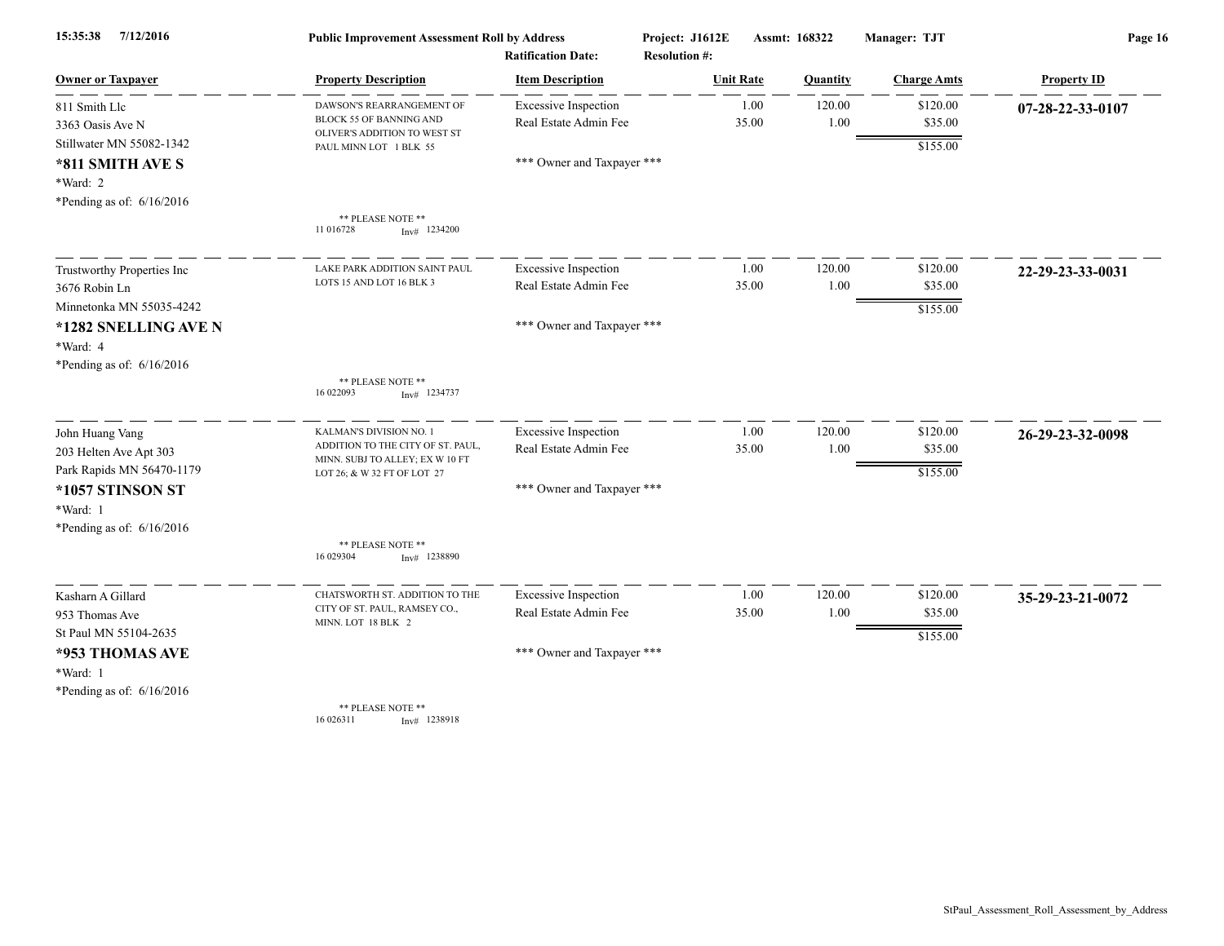| 7/12/2016<br>15:35:38<br><b>Owner or Taxpayer</b> | <b>Public Improvement Assessment Roll by Address</b><br><b>Ratification Date:</b> |                             | Project: J1612E<br><b>Resolution #:</b> |                  | Assmt: 168322 | Manager: TJT       | Page 16            |
|---------------------------------------------------|-----------------------------------------------------------------------------------|-----------------------------|-----------------------------------------|------------------|---------------|--------------------|--------------------|
|                                                   | <b>Property Description</b>                                                       | <b>Item Description</b>     |                                         | <b>Unit Rate</b> | Quantity      | <b>Charge Amts</b> | <b>Property ID</b> |
| 811 Smith Llc                                     | DAWSON'S REARRANGEMENT OF                                                         | <b>Excessive Inspection</b> |                                         | 1.00             | 120.00        | \$120.00           | 07-28-22-33-0107   |
| 3363 Oasis Ave N<br>Stillwater MN 55082-1342      | BLOCK 55 OF BANNING AND<br>OLIVER'S ADDITION TO WEST ST                           | Real Estate Admin Fee       |                                         | 35.00            | 1.00          | \$35.00            |                    |
| *811 SMITH AVE S                                  | PAUL MINN LOT 1 BLK 55                                                            | *** Owner and Taxpayer ***  |                                         |                  |               | \$155.00           |                    |
| *Ward: 2                                          |                                                                                   |                             |                                         |                  |               |                    |                    |
| *Pending as of: $6/16/2016$                       |                                                                                   |                             |                                         |                  |               |                    |                    |
|                                                   | ** PLEASE NOTE **<br>11 016728<br>$Inv#$ 1234200                                  |                             |                                         |                  |               |                    |                    |
| Trustworthy Properties Inc                        | LAKE PARK ADDITION SAINT PAUL                                                     | <b>Excessive Inspection</b> |                                         | 1.00             | 120.00        | \$120.00           | 22-29-23-33-0031   |
| 3676 Robin Ln                                     | LOTS 15 AND LOT 16 BLK 3                                                          | Real Estate Admin Fee       |                                         | 35.00            | 1.00          | \$35.00            |                    |
| Minnetonka MN 55035-4242                          |                                                                                   |                             |                                         |                  |               | \$155.00           |                    |
| *1282 SNELLING AVE N                              |                                                                                   | *** Owner and Taxpayer ***  |                                         |                  |               |                    |                    |
| *Ward: 4                                          |                                                                                   |                             |                                         |                  |               |                    |                    |
| *Pending as of: $6/16/2016$                       | ** PLEASE NOTE **                                                                 |                             |                                         |                  |               |                    |                    |
|                                                   | 16 022093<br>$Inv#$ 1234737                                                       |                             |                                         |                  |               |                    |                    |
| John Huang Vang                                   | KALMAN'S DIVISION NO. 1                                                           | <b>Excessive Inspection</b> |                                         | 1.00             | 120.00        | \$120.00           | 26-29-23-32-0098   |
| 203 Helten Ave Apt 303                            | ADDITION TO THE CITY OF ST. PAUL,<br>MINN. SUBJ TO ALLEY; EX W 10 FT              | Real Estate Admin Fee       |                                         | 35.00            | 1.00          | \$35.00            |                    |
| Park Rapids MN 56470-1179                         | LOT 26; & W 32 FT OF LOT 27                                                       |                             |                                         |                  |               | \$155.00           |                    |
| *1057 STINSON ST                                  |                                                                                   | *** Owner and Taxpayer ***  |                                         |                  |               |                    |                    |
| *Ward: 1                                          |                                                                                   |                             |                                         |                  |               |                    |                    |
| *Pending as of: $6/16/2016$                       | ** PLEASE NOTE **                                                                 |                             |                                         |                  |               |                    |                    |
|                                                   | 16 029304<br>$Inv#$ 1238890                                                       |                             |                                         |                  |               |                    |                    |
| Kasharn A Gillard                                 | CHATSWORTH ST. ADDITION TO THE                                                    | <b>Excessive Inspection</b> |                                         | 1.00             | 120.00        | \$120.00           | 35-29-23-21-0072   |
| 953 Thomas Ave                                    | CITY OF ST. PAUL, RAMSEY CO.,<br>MINN. LOT 18 BLK 2                               | Real Estate Admin Fee       |                                         | 35.00            | 1.00          | \$35.00            |                    |
| St Paul MN 55104-2635                             |                                                                                   |                             |                                         |                  |               | \$155.00           |                    |
| *953 THOMAS AVE                                   |                                                                                   | *** Owner and Taxpayer ***  |                                         |                  |               |                    |                    |
| *Ward: 1                                          |                                                                                   |                             |                                         |                  |               |                    |                    |
| *Pending as of: $6/16/2016$                       | ** PLEASE NOTE **                                                                 |                             |                                         |                  |               |                    |                    |
|                                                   | 16 026311<br>$Inv#$ 1238918                                                       |                             |                                         |                  |               |                    |                    |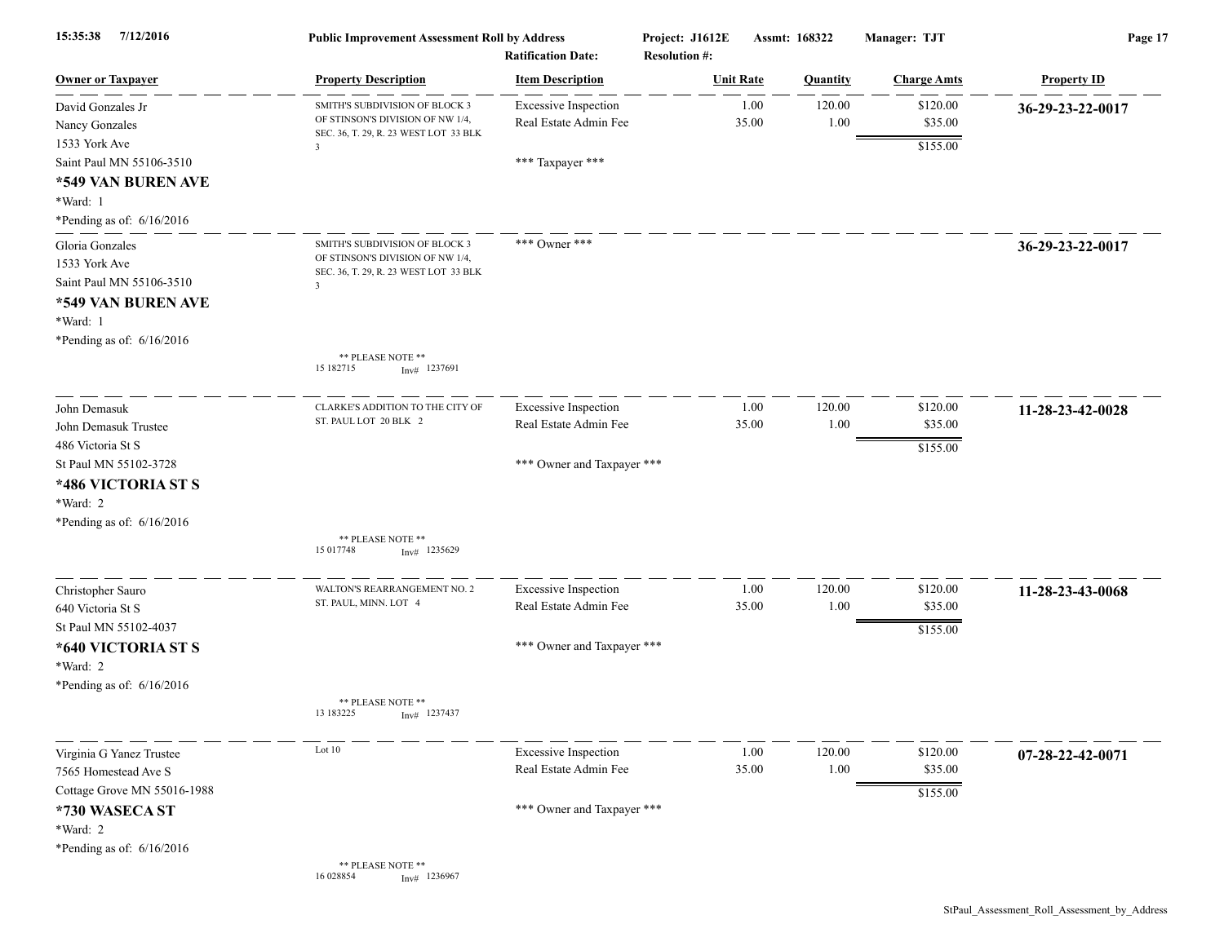| 7/12/2016<br>15:35:38                                                                                                         | <b>Public Improvement Assessment Roll by Address</b><br><b>Ratification Date:</b>                                                      |                                                                          | Project: J1612E<br>Assmt: 168322<br><b>Resolution #:</b> |                  | Manager: TJT       | Page 17                         |                            |
|-------------------------------------------------------------------------------------------------------------------------------|----------------------------------------------------------------------------------------------------------------------------------------|--------------------------------------------------------------------------|----------------------------------------------------------|------------------|--------------------|---------------------------------|----------------------------|
| <b>Owner or Taxpayer</b>                                                                                                      | <b>Property Description</b>                                                                                                            | <b>Item Description</b>                                                  |                                                          | <b>Unit Rate</b> | Quantity           | <b>Charge Amts</b>              | <b>Property ID</b>         |
| David Gonzales Jr<br>Nancy Gonzales<br>1533 York Ave<br>Saint Paul MN 55106-3510                                              | SMITH'S SUBDIVISION OF BLOCK 3<br>OF STINSON'S DIVISION OF NW 1/4,<br>SEC. 36, T. 29, R. 23 WEST LOT 33 BLK<br>$\overline{\mathbf{3}}$ | <b>Excessive Inspection</b><br>Real Estate Admin Fee<br>*** Taxpayer *** |                                                          | 1.00<br>35.00    | 120.00<br>1.00     | \$120.00<br>\$35.00<br>\$155.00 | 36-29-23-22-0017           |
| *549 VAN BUREN AVE<br>*Ward: 1<br>*Pending as of: $6/16/2016$                                                                 |                                                                                                                                        |                                                                          |                                                          |                  |                    |                                 |                            |
| Gloria Gonzales<br>1533 York Ave<br>Saint Paul MN 55106-3510<br>*549 VAN BUREN AVE<br>*Ward: 1<br>*Pending as of: $6/16/2016$ | SMITH'S SUBDIVISION OF BLOCK 3<br>OF STINSON'S DIVISION OF NW 1/4,<br>SEC. 36, T. 29, R. 23 WEST LOT 33 BLK<br>3                       | *** Owner ***                                                            |                                                          |                  |                    |                                 | 36-29-23-22-0017           |
|                                                                                                                               | ** PLEASE NOTE **<br>15 182715<br>$Inv#$ 1237691                                                                                       |                                                                          |                                                          |                  |                    |                                 |                            |
| John Demasuk<br>John Demasuk Trustee<br>486 Victoria St S                                                                     | CLARKE'S ADDITION TO THE CITY OF<br>ST. PAUL LOT 20 BLK 2                                                                              | <b>Excessive Inspection</b><br>Real Estate Admin Fee                     |                                                          | 1.00<br>35.00    | 120.00<br>1.00     | \$120.00<br>\$35.00<br>\$155.00 | 11-28-23-42-0028           |
| St Paul MN 55102-3728<br>*486 VICTORIA ST S<br>*Ward: 2<br>*Pending as of: $6/16/2016$                                        |                                                                                                                                        | *** Owner and Taxpayer ***                                               |                                                          |                  |                    |                                 |                            |
|                                                                                                                               | ** PLEASE NOTE **<br>15 017748<br>$Inv#$ 1235629                                                                                       |                                                                          |                                                          |                  |                    |                                 |                            |
| Christopher Sauro<br>640 Victoria St S<br>St Paul MN 55102-4037                                                               | WALTON'S REARRANGEMENT NO. 2<br>ST. PAUL, MINN. LOT 4                                                                                  | <b>Excessive Inspection</b><br>Real Estate Admin Fee                     |                                                          | 1.00<br>35.00    | 120.00<br>1.00     | \$120.00<br>\$35.00<br>\$155.00 | 11-28-23-43-0068           |
| *640 VICTORIA ST S<br>*Ward: 2<br>*Pending as of: $6/16/2016$                                                                 |                                                                                                                                        | *** Owner and Taxpayer ***                                               |                                                          |                  |                    |                                 |                            |
|                                                                                                                               | ** PLEASE NOTE **<br>13 183225<br>$Inv#$ 1237437                                                                                       |                                                                          |                                                          |                  |                    |                                 |                            |
| Virginia G Yanez Trustee<br>7565 Homestead Ave S<br>Cottage Grove MN 55016-1988                                               | Lot 10                                                                                                                                 | <b>Excessive Inspection</b><br>Real Estate Admin Fee                     |                                                          | 1.00<br>35.00    | 120.00<br>$1.00\,$ | \$120.00<br>\$35.00<br>\$155.00 | $07 - 28 - 22 - 42 - 0071$ |
| *730 WASECA ST<br>*Ward: 2<br>*Pending as of: 6/16/2016                                                                       |                                                                                                                                        | *** Owner and Taxpayer ***                                               |                                                          |                  |                    |                                 |                            |
|                                                                                                                               | ** PLEASE NOTE **<br>16 028854<br>$Inv#$ 1236967                                                                                       |                                                                          |                                                          |                  |                    |                                 |                            |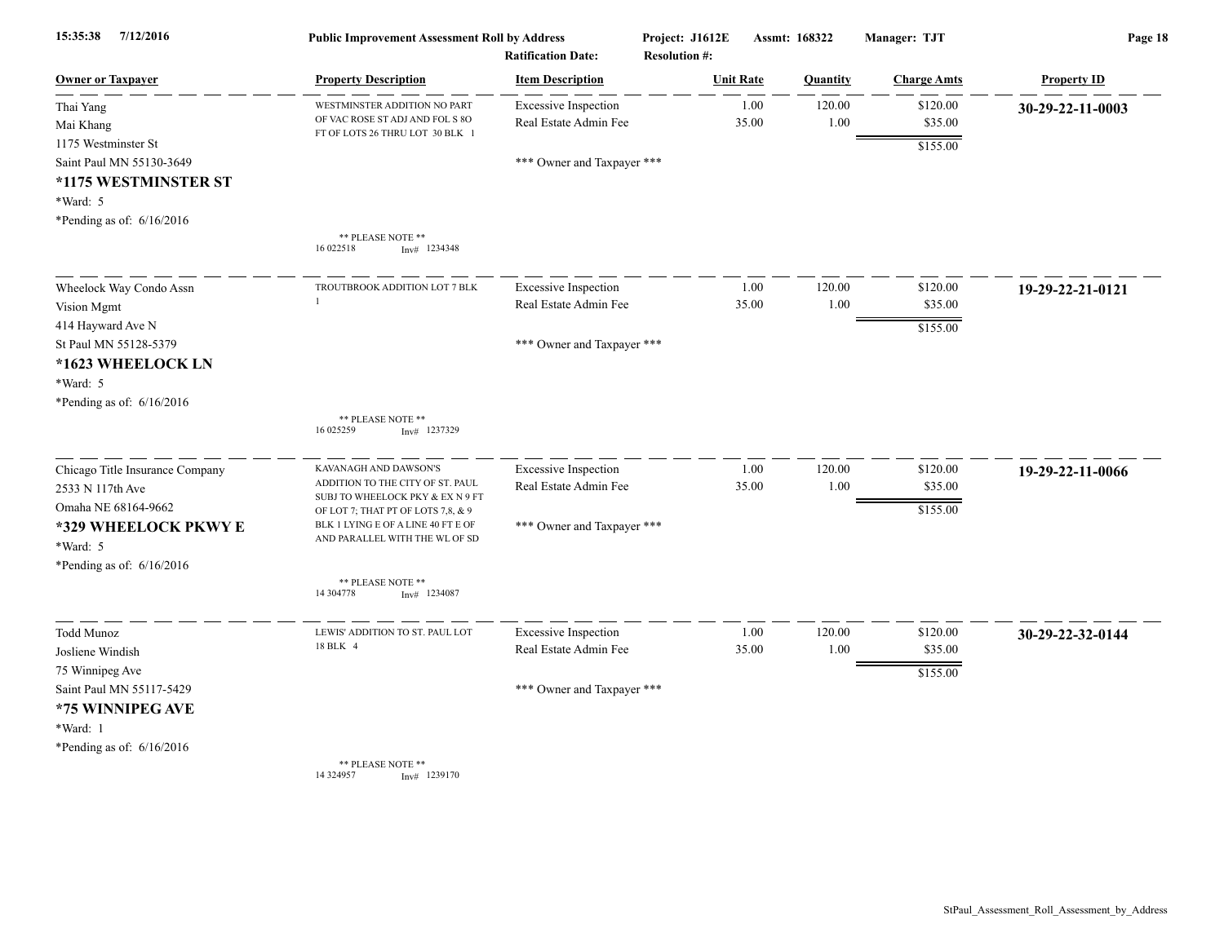| 15:35:38<br>7/12/2016                                                                                              | <b>Public Improvement Assessment Roll by Address</b><br><b>Ratification Date:</b>                                                   |                                                      | Project: J1612E<br>Assmt: 168322<br><b>Resolution #:</b> |               |                | Manager: TJT                    | Page 18            |  |
|--------------------------------------------------------------------------------------------------------------------|-------------------------------------------------------------------------------------------------------------------------------------|------------------------------------------------------|----------------------------------------------------------|---------------|----------------|---------------------------------|--------------------|--|
| <b>Owner or Taxpayer</b>                                                                                           | <b>Property Description</b>                                                                                                         | <b>Item Description</b>                              | <b>Unit Rate</b>                                         |               | Quantity       | <b>Charge Amts</b>              | <b>Property ID</b> |  |
| Thai Yang<br>Mai Khang                                                                                             | WESTMINSTER ADDITION NO PART<br>OF VAC ROSE ST ADJ AND FOL S 8O<br>FT OF LOTS 26 THRU LOT 30 BLK 1                                  | <b>Excessive Inspection</b><br>Real Estate Admin Fee |                                                          | 1.00<br>35.00 | 120.00<br>1.00 | \$120.00<br>\$35.00             | 30-29-22-11-0003   |  |
| 1175 Westminster St<br>Saint Paul MN 55130-3649<br>*1175 WESTMINSTER ST<br>*Ward: 5<br>*Pending as of: $6/16/2016$ |                                                                                                                                     | *** Owner and Taxpayer ***                           |                                                          |               |                | \$155.00                        |                    |  |
|                                                                                                                    | ** PLEASE NOTE **<br>16 022518<br>$Inv#$ 1234348                                                                                    |                                                      |                                                          |               |                |                                 |                    |  |
| Wheelock Way Condo Assn<br>Vision Mgmt<br>414 Hayward Ave N                                                        | TROUTBROOK ADDITION LOT 7 BLK                                                                                                       | <b>Excessive Inspection</b><br>Real Estate Admin Fee |                                                          | 1.00<br>35.00 | 120.00<br>1.00 | \$120.00<br>\$35.00             | 19-29-22-21-0121   |  |
| St Paul MN 55128-5379<br>*1623 WHEELOCK LN<br>*Ward: 5<br>*Pending as of: 6/16/2016                                |                                                                                                                                     | *** Owner and Taxpayer ***                           |                                                          |               |                | \$155.00                        |                    |  |
|                                                                                                                    | ** PLEASE NOTE **<br>16 025259<br>$Inv#$ 1237329                                                                                    |                                                      |                                                          |               |                |                                 |                    |  |
| Chicago Title Insurance Company<br>2533 N 117th Ave<br>Omaha NE 68164-9662                                         | KAVANAGH AND DAWSON'S<br>ADDITION TO THE CITY OF ST. PAUL<br>SUBJ TO WHEELOCK PKY & EX N 9 FT<br>OF LOT 7; THAT PT OF LOTS 7,8, & 9 | <b>Excessive Inspection</b><br>Real Estate Admin Fee |                                                          | 1.00<br>35.00 | 120.00<br>1.00 | \$120.00<br>\$35.00<br>\$155.00 | 19-29-22-11-0066   |  |
| *329 WHEELOCK PKWY E<br>*Ward: 5<br>*Pending as of: 6/16/2016                                                      | BLK 1 LYING E OF A LINE 40 FT E OF<br>AND PARALLEL WITH THE WL OF SD                                                                | *** Owner and Taxpayer ***                           |                                                          |               |                |                                 |                    |  |
|                                                                                                                    | ** PLEASE NOTE **<br>14 304778<br>$Inv#$ 1234087                                                                                    |                                                      |                                                          |               |                |                                 |                    |  |
| Todd Munoz<br>Josliene Windish                                                                                     | LEWIS' ADDITION TO ST. PAUL LOT<br>18 BLK 4                                                                                         | <b>Excessive Inspection</b><br>Real Estate Admin Fee |                                                          | 1.00<br>35.00 | 120.00<br>1.00 | \$120.00<br>\$35.00             | 30-29-22-32-0144   |  |
| 75 Winnipeg Ave<br>Saint Paul MN 55117-5429<br>*75 WINNIPEG AVE<br>*Ward: 1                                        |                                                                                                                                     | *** Owner and Taxpayer ***                           |                                                          |               |                | \$155.00                        |                    |  |
| *Pending as of: $6/16/2016$                                                                                        | ** PLEASE NOTE **<br>14 324957<br>$Inv#$ 1239170                                                                                    |                                                      |                                                          |               |                |                                 |                    |  |

StPaul\_Assessment\_Roll\_Assessment\_by\_Address